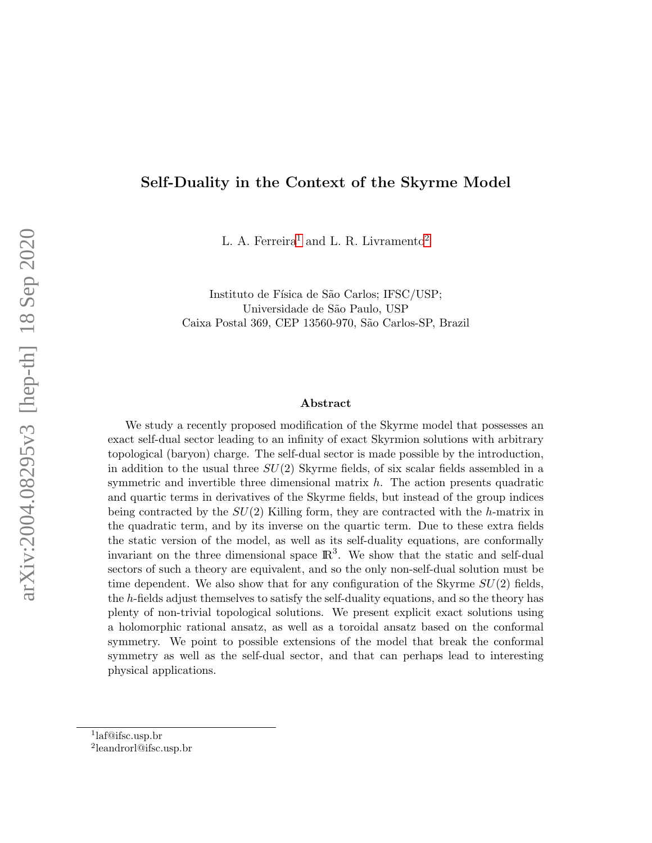#### Self-Duality in the Context of the Skyrme Model

 ${\rm L.~A.~Ferreira^1}$  ${\rm L.~A.~Ferreira^1}$  ${\rm L.~A.~Ferreira^1}$  and  ${\rm L.~R.~Livramento^2}$  ${\rm L.~R.~Livramento^2}$  ${\rm L.~R.~Livramento^2}$ 

Instituto de Física de São Carlos; IFSC/USP; Universidade de S˜ao Paulo, USP Caixa Postal 369, CEP 13560-970, S˜ao Carlos-SP, Brazil

#### Abstract

We study a recently proposed modification of the Skyrme model that possesses an exact self-dual sector leading to an infinity of exact Skyrmion solutions with arbitrary topological (baryon) charge. The self-dual sector is made possible by the introduction, in addition to the usual three  $SU(2)$  Skyrme fields, of six scalar fields assembled in a symmetric and invertible three dimensional matrix  $h$ . The action presents quadratic and quartic terms in derivatives of the Skyrme fields, but instead of the group indices being contracted by the  $SU(2)$  Killing form, they are contracted with the h-matrix in the quadratic term, and by its inverse on the quartic term. Due to these extra fields the static version of the model, as well as its self-duality equations, are conformally invariant on the three dimensional space  $\mathbb{R}^3$ . We show that the static and self-dual sectors of such a theory are equivalent, and so the only non-self-dual solution must be time dependent. We also show that for any configuration of the Skyrme  $SU(2)$  fields, the h-fields adjust themselves to satisfy the self-duality equations, and so the theory has plenty of non-trivial topological solutions. We present explicit exact solutions using a holomorphic rational ansatz, as well as a toroidal ansatz based on the conformal symmetry. We point to possible extensions of the model that break the conformal symmetry as well as the self-dual sector, and that can perhaps lead to interesting physical applications.

<span id="page-0-0"></span><sup>1</sup> laf@ifsc.usp.br

<span id="page-0-1"></span><sup>2</sup> leandrorl@ifsc.usp.br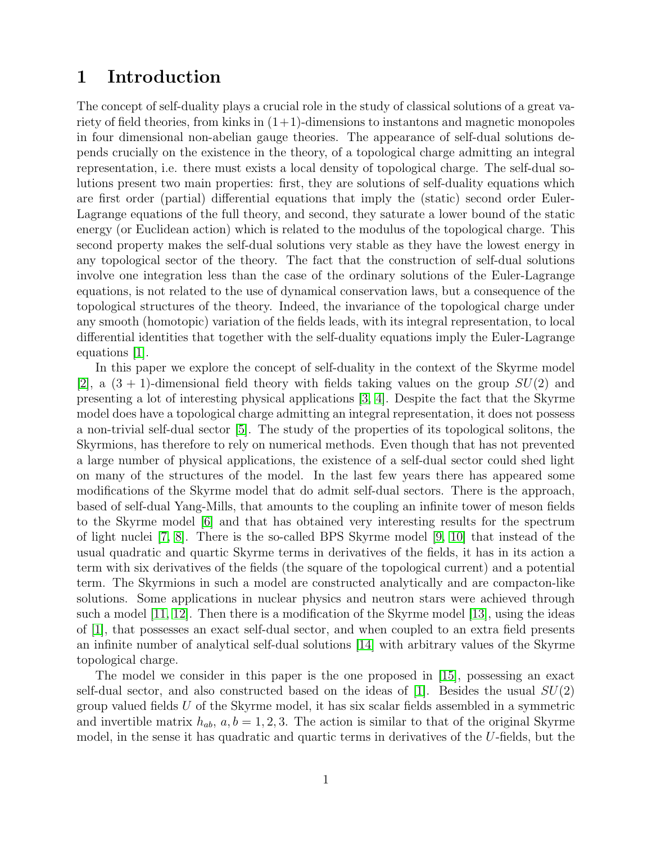## 1 Introduction

The concept of self-duality plays a crucial role in the study of classical solutions of a great variety of field theories, from kinks in  $(1+1)$ -dimensions to instantons and magnetic monopoles in four dimensional non-abelian gauge theories. The appearance of self-dual solutions depends crucially on the existence in the theory, of a topological charge admitting an integral representation, i.e. there must exists a local density of topological charge. The self-dual solutions present two main properties: first, they are solutions of self-duality equations which are first order (partial) differential equations that imply the (static) second order Euler-Lagrange equations of the full theory, and second, they saturate a lower bound of the static energy (or Euclidean action) which is related to the modulus of the topological charge. This second property makes the self-dual solutions very stable as they have the lowest energy in any topological sector of the theory. The fact that the construction of self-dual solutions involve one integration less than the case of the ordinary solutions of the Euler-Lagrange equations, is not related to the use of dynamical conservation laws, but a consequence of the topological structures of the theory. Indeed, the invariance of the topological charge under any smooth (homotopic) variation of the fields leads, with its integral representation, to local differential identities that together with the self-duality equations imply the Euler-Lagrange equations [\[1\]](#page-22-0).

In this paper we explore the concept of self-duality in the context of the Skyrme model [\[2\]](#page-22-1), a  $(3 + 1)$ -dimensional field theory with fields taking values on the group  $SU(2)$  and presenting a lot of interesting physical applications [\[3,](#page-22-2) [4\]](#page-22-3). Despite the fact that the Skyrme model does have a topological charge admitting an integral representation, it does not possess a non-trivial self-dual sector [\[5\]](#page-22-4). The study of the properties of its topological solitons, the Skyrmions, has therefore to rely on numerical methods. Even though that has not prevented a large number of physical applications, the existence of a self-dual sector could shed light on many of the structures of the model. In the last few years there has appeared some modifications of the Skyrme model that do admit self-dual sectors. There is the approach, based of self-dual Yang-Mills, that amounts to the coupling an infinite tower of meson fields to the Skyrme model [\[6\]](#page-22-5) and that has obtained very interesting results for the spectrum of light nuclei [\[7,](#page-22-6) [8\]](#page-22-7). There is the so-called BPS Skyrme model [\[9,](#page-23-0) [10\]](#page-23-1) that instead of the usual quadratic and quartic Skyrme terms in derivatives of the fields, it has in its action a term with six derivatives of the fields (the square of the topological current) and a potential term. The Skyrmions in such a model are constructed analytically and are compacton-like solutions. Some applications in nuclear physics and neutron stars were achieved through such a model [\[11,](#page-23-2) [12\]](#page-23-3). Then there is a modification of the Skyrme model [\[13\]](#page-23-4), using the ideas of [\[1\]](#page-22-0), that possesses an exact self-dual sector, and when coupled to an extra field presents an infinite number of analytical self-dual solutions [\[14\]](#page-23-5) with arbitrary values of the Skyrme topological charge.

The model we consider in this paper is the one proposed in [\[15\]](#page-23-6), possessing an exact self-dual sector, and also constructed based on the ideas of [\[1\]](#page-22-0). Besides the usual  $SU(2)$ group valued fields U of the Skyrme model, it has six scalar fields assembled in a symmetric and invertible matrix  $h_{ab}$ ,  $a, b = 1, 2, 3$ . The action is similar to that of the original Skyrme model, in the sense it has quadratic and quartic terms in derivatives of the U-fields, but the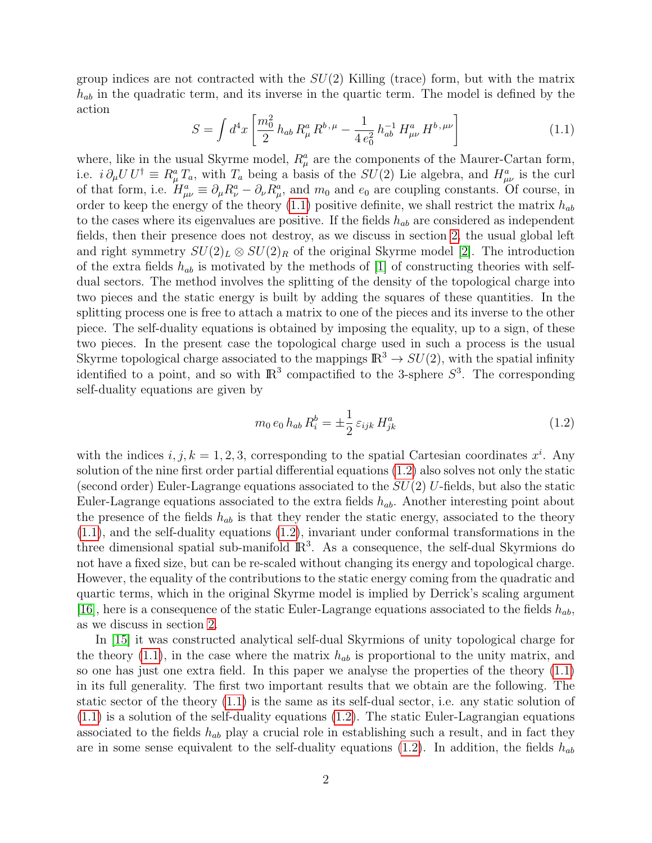group indices are not contracted with the  $SU(2)$  Killing (trace) form, but with the matrix  $h_{ab}$  in the quadratic term, and its inverse in the quartic term. The model is defined by the action

<span id="page-2-0"></span>
$$
S = \int d^4x \left[ \frac{m_0^2}{2} h_{ab} R^a_\mu R^{b,\mu} - \frac{1}{4 e_0^2} h_{ab}^{-1} H^a_{\mu\nu} H^{b,\mu\nu} \right]
$$
(1.1)

where, like in the usual Skyrme model,  $R^a_\mu$  are the components of the Maurer-Cartan form, i.e.  $i \partial_{\mu} U U^{\dagger} \equiv R_{\mu}^{a} T_{a}$ , with  $T_{a}$  being a basis of the  $SU(2)$  Lie algebra, and  $H_{\mu\nu}^{a}$  is the curl of that form, i.e.  $H^a_{\mu\nu} \equiv \partial_\mu R^a_\nu - \partial_\nu R^a_\mu$ , and  $m_0$  and  $e_0$  are coupling constants. Of course, in order to keep the energy of the theory [\(1.1\)](#page-2-0) positive definite, we shall restrict the matrix  $h_{ab}$ to the cases where its eigenvalues are positive. If the fields  $h_{ab}$  are considered as independent fields, then their presence does not destroy, as we discuss in section [2,](#page-4-0) the usual global left and right symmetry  $SU(2)_L \otimes SU(2)_R$  of the original Skyrme model [\[2\]](#page-22-1). The introduction of the extra fields  $h_{ab}$  is motivated by the methods of [\[1\]](#page-22-0) of constructing theories with selfdual sectors. The method involves the splitting of the density of the topological charge into two pieces and the static energy is built by adding the squares of these quantities. In the splitting process one is free to attach a matrix to one of the pieces and its inverse to the other piece. The self-duality equations is obtained by imposing the equality, up to a sign, of these two pieces. In the present case the topological charge used in such a process is the usual Skyrme topological charge associated to the mappings  $\mathbb{R}^3 \to SU(2)$ , with the spatial infinity identified to a point, and so with  $\mathbb{R}^3$  compactified to the 3-sphere  $S^3$ . The corresponding self-duality equations are given by

<span id="page-2-1"></span>
$$
m_0 e_0 h_{ab} R_i^b = \pm \frac{1}{2} \varepsilon_{ijk} H_{jk}^a \tag{1.2}
$$

with the indices  $i, j, k = 1, 2, 3$ , corresponding to the spatial Cartesian coordinates  $x^i$ . Any solution of the nine first order partial differential equations [\(1.2\)](#page-2-1) also solves not only the static (second order) Euler-Lagrange equations associated to the  $SU(2)$  U-fields, but also the static Euler-Lagrange equations associated to the extra fields  $h_{ab}$ . Another interesting point about the presence of the fields  $h_{ab}$  is that they render the static energy, associated to the theory [\(1.1\)](#page-2-0), and the self-duality equations [\(1.2\)](#page-2-1), invariant under conformal transformations in the three dimensional spatial sub-manifold  $\mathbb{R}^3$ . As a consequence, the self-dual Skyrmions do not have a fixed size, but can be re-scaled without changing its energy and topological charge. However, the equality of the contributions to the static energy coming from the quadratic and quartic terms, which in the original Skyrme model is implied by Derrick's scaling argument [\[16\]](#page-23-7), here is a consequence of the static Euler-Lagrange equations associated to the fields  $h_{ab}$ , as we discuss in section [2.](#page-4-0)

In [\[15\]](#page-23-6) it was constructed analytical self-dual Skyrmions of unity topological charge for the theory  $(1.1)$ , in the case where the matrix  $h_{ab}$  is proportional to the unity matrix, and so one has just one extra field. In this paper we analyse the properties of the theory [\(1.1\)](#page-2-0) in its full generality. The first two important results that we obtain are the following. The static sector of the theory [\(1.1\)](#page-2-0) is the same as its self-dual sector, i.e. any static solution of  $(1.1)$  is a solution of the self-duality equations  $(1.2)$ . The static Euler-Lagrangian equations associated to the fields  $h_{ab}$  play a crucial role in establishing such a result, and in fact they are in some sense equivalent to the self-duality equations [\(1.2\)](#page-2-1). In addition, the fields  $h_{ab}$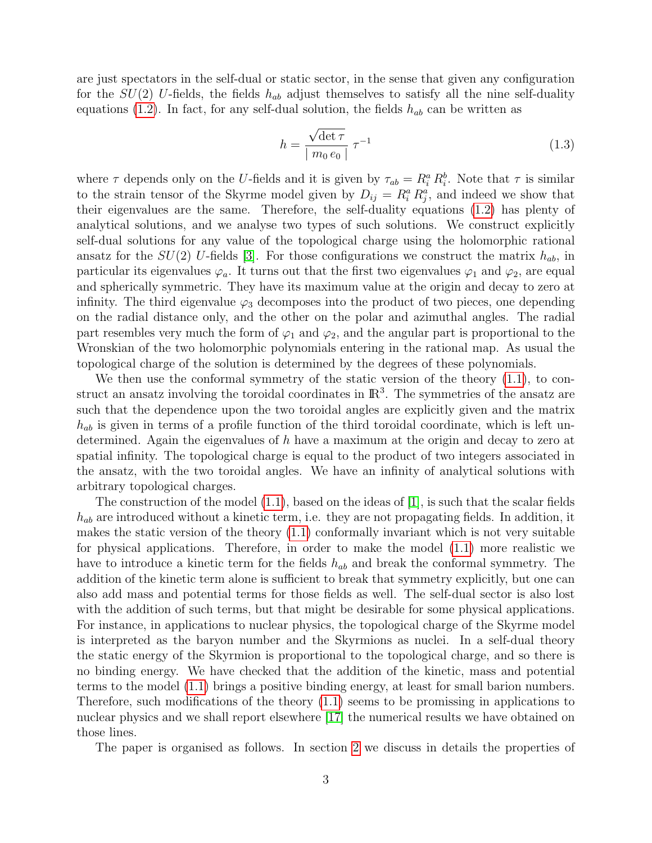are just spectators in the self-dual or static sector, in the sense that given any configuration for the  $SU(2)$  U-fields, the fields  $h_{ab}$  adjust themselves to satisfy all the nine self-duality equations [\(1.2\)](#page-2-1). In fact, for any self-dual solution, the fields  $h_{ab}$  can be written as

$$
h = \frac{\sqrt{\det \tau}}{\mid m_0 e_0 \mid} \tau^{-1}
$$
\n(1.3)

where  $\tau$  depends only on the U-fields and it is given by  $\tau_{ab} = R_i^a R_i^b$ . Note that  $\tau$  is similar to the strain tensor of the Skyrme model given by  $D_{ij} = R_i^a R_j^a$ , and indeed we show that their eigenvalues are the same. Therefore, the self-duality equations [\(1.2\)](#page-2-1) has plenty of analytical solutions, and we analyse two types of such solutions. We construct explicitly self-dual solutions for any value of the topological charge using the holomorphic rational ansatz for the  $SU(2)$  U-fields [\[3\]](#page-22-2). For those configurations we construct the matrix  $h_{ab}$ , in particular its eigenvalues  $\varphi_a$ . It turns out that the first two eigenvalues  $\varphi_1$  and  $\varphi_2$ , are equal and spherically symmetric. They have its maximum value at the origin and decay to zero at infinity. The third eigenvalue  $\varphi_3$  decomposes into the product of two pieces, one depending on the radial distance only, and the other on the polar and azimuthal angles. The radial part resembles very much the form of  $\varphi_1$  and  $\varphi_2$ , and the angular part is proportional to the Wronskian of the two holomorphic polynomials entering in the rational map. As usual the topological charge of the solution is determined by the degrees of these polynomials.

We then use the conformal symmetry of the static version of the theory [\(1.1\)](#page-2-0), to construct an ansatz involving the toroidal coordinates in  $\mathbb{R}^3$ . The symmetries of the ansatz are such that the dependence upon the two toroidal angles are explicitly given and the matrix  $h_{ab}$  is given in terms of a profile function of the third toroidal coordinate, which is left undetermined. Again the eigenvalues of h have a maximum at the origin and decay to zero at spatial infinity. The topological charge is equal to the product of two integers associated in the ansatz, with the two toroidal angles. We have an infinity of analytical solutions with arbitrary topological charges.

The construction of the model  $(1.1)$ , based on the ideas of  $[1]$ , is such that the scalar fields  $h_{ab}$  are introduced without a kinetic term, i.e. they are not propagating fields. In addition, it makes the static version of the theory  $(1.1)$  conformally invariant which is not very suitable for physical applications. Therefore, in order to make the model [\(1.1\)](#page-2-0) more realistic we have to introduce a kinetic term for the fields  $h_{ab}$  and break the conformal symmetry. The addition of the kinetic term alone is sufficient to break that symmetry explicitly, but one can also add mass and potential terms for those fields as well. The self-dual sector is also lost with the addition of such terms, but that might be desirable for some physical applications. For instance, in applications to nuclear physics, the topological charge of the Skyrme model is interpreted as the baryon number and the Skyrmions as nuclei. In a self-dual theory the static energy of the Skyrmion is proportional to the topological charge, and so there is no binding energy. We have checked that the addition of the kinetic, mass and potential terms to the model [\(1.1\)](#page-2-0) brings a positive binding energy, at least for small barion numbers. Therefore, such modifications of the theory [\(1.1\)](#page-2-0) seems to be promissing in applications to nuclear physics and we shall report elsewhere [\[17\]](#page-23-8) the numerical results we have obtained on those lines.

The paper is organised as follows. In section [2](#page-4-0) we discuss in details the properties of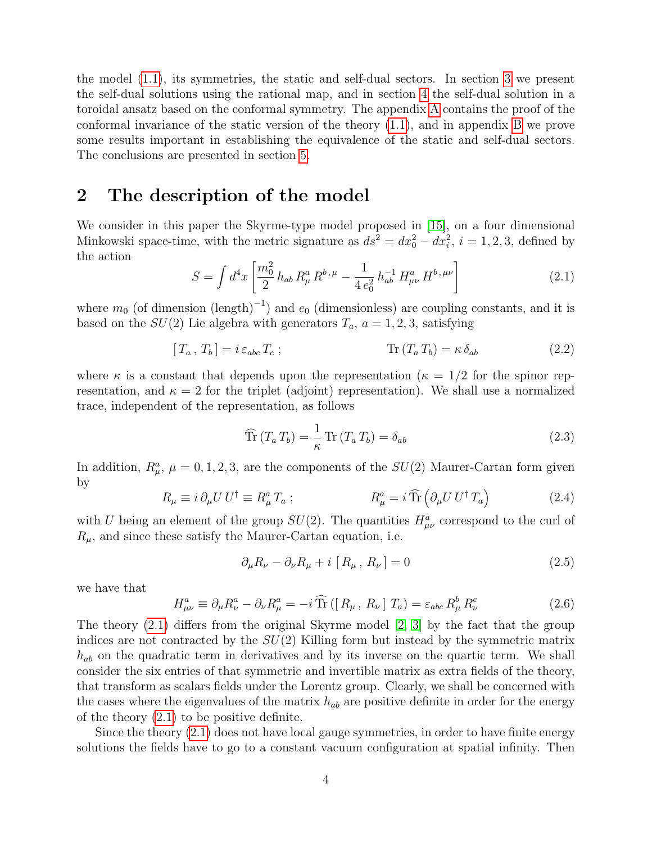the model [\(1.1\)](#page-2-0), its symmetries, the static and self-dual sectors. In section [3](#page-12-0) we present the self-dual solutions using the rational map, and in section [4](#page-15-0) the self-dual solution in a toroidal ansatz based on the conformal symmetry. The appendix [A](#page-18-0) contains the proof of the conformal invariance of the static version of the theory [\(1.1\)](#page-2-0), and in appendix [B](#page-20-0) we prove some results important in establishing the equivalence of the static and self-dual sectors. The conclusions are presented in section [5.](#page-17-0)

### <span id="page-4-0"></span>2 The description of the model

We consider in this paper the Skyrme-type model proposed in [\[15\]](#page-23-6), on a four dimensional Minkowski space-time, with the metric signature as  $ds^2 = dx_0^2 - dx_i^2$ ,  $i = 1, 2, 3$ , defined by the action

<span id="page-4-1"></span>
$$
S = \int d^4x \left[ \frac{m_0^2}{2} h_{ab} R^a_\mu R^{b,\mu} - \frac{1}{4 e_0^2} h_{ab}^{-1} H^a_{\mu\nu} H^{b,\mu\nu} \right]
$$
(2.1)

where  $m_0$  (of dimension (length)<sup>-1</sup>) and  $e_0$  (dimensionless) are coupling constants, and it is based on the  $SU(2)$  Lie algebra with generators  $T_a$ ,  $a = 1, 2, 3$ , satisfying

<span id="page-4-3"></span>
$$
[T_a, T_b] = i \varepsilon_{abc} T_c ; \qquad \qquad \text{Tr}(T_a T_b) = \kappa \delta_{ab} \qquad (2.2)
$$

where  $\kappa$  is a constant that depends upon the representation ( $\kappa = 1/2$  for the spinor representation, and  $\kappa = 2$  for the triplet (adjoint) representation). We shall use a normalized trace, independent of the representation, as follows

$$
\widehat{\text{Tr}}\left(T_a T_b\right) = \frac{1}{\kappa} \text{Tr}\left(T_a T_b\right) = \delta_{ab} \tag{2.3}
$$

In addition,  $R^a_\mu$ ,  $\mu = 0, 1, 2, 3$ , are the components of the  $SU(2)$  Maurer-Cartan form given by

<span id="page-4-2"></span>
$$
R_{\mu} \equiv i \,\partial_{\mu} U \, U^{\dagger} \equiv R_{\mu}^{a} \, T_{a} \;; \qquad R_{\mu}^{a} = i \,\widehat{\text{Tr}} \left( \partial_{\mu} U \, U^{\dagger} \, T_{a} \right) \tag{2.4}
$$

with U being an element of the group  $SU(2)$ . The quantities  $H^a_{\mu\nu}$  correspond to the curl of  $R_{\mu}$ , and since these satisfy the Maurer-Cartan equation, i.e.

<span id="page-4-5"></span>
$$
\partial_{\mu}R_{\nu} - \partial_{\nu}R_{\mu} + i [R_{\mu}, R_{\nu}] = 0 \qquad (2.5)
$$

we have that

<span id="page-4-4"></span>
$$
H^{a}_{\mu\nu} \equiv \partial_{\mu}R^{a}_{\nu} - \partial_{\nu}R^{a}_{\mu} = -i \widehat{\text{Tr}}\left(\left[R_{\mu}, R_{\nu}\right]T_{a}\right) = \varepsilon_{abc}R^{b}_{\mu}R^{c}_{\nu} \tag{2.6}
$$

The theory [\(2.1\)](#page-4-1) differs from the original Skyrme model [\[2,](#page-22-1) [3\]](#page-22-2) by the fact that the group indices are not contracted by the  $SU(2)$  Killing form but instead by the symmetric matrix  $h_{ab}$  on the quadratic term in derivatives and by its inverse on the quartic term. We shall consider the six entries of that symmetric and invertible matrix as extra fields of the theory, that transform as scalars fields under the Lorentz group. Clearly, we shall be concerned with the cases where the eigenvalues of the matrix  $h_{ab}$  are positive definite in order for the energy of the theory [\(2.1\)](#page-4-1) to be positive definite.

Since the theory [\(2.1\)](#page-4-1) does not have local gauge symmetries, in order to have finite energy solutions the fields have to go to a constant vacuum configuration at spatial infinity. Then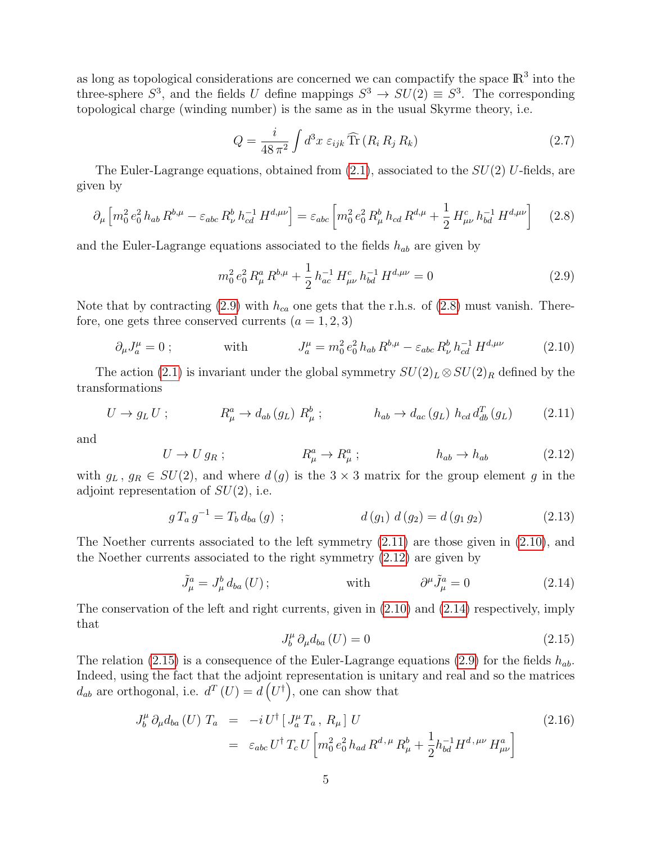as long as topological considerations are concerned we can compactify the space  $\mathbb{R}^3$  into the three-sphere  $S^3$ , and the fields U define mappings  $S^3 \to SU(2) \equiv S^3$ . The corresponding topological charge (winding number) is the same as in the usual Skyrme theory, i.e.

<span id="page-5-7"></span>
$$
Q = \frac{i}{48\,\pi^2} \int d^3x \ \varepsilon_{ijk} \,\widehat{\text{Tr}}\,(R_i \, R_j \, R_k) \tag{2.7}
$$

The Euler-Lagrange equations, obtained from  $(2.1)$ , associated to the  $SU(2)$  U-fields, are given by

<span id="page-5-1"></span>
$$
\partial_{\mu} \left[ m_0^2 e_0^2 h_{ab} R^{b,\mu} - \varepsilon_{abc} R_{\nu}^b h_{cd}^{-1} H^{d,\mu\nu} \right] = \varepsilon_{abc} \left[ m_0^2 e_0^2 R_{\mu}^b h_{cd} R^{d,\mu} + \frac{1}{2} H_{\mu\nu}^c h_{bd}^{-1} H^{d,\mu\nu} \right] \tag{2.8}
$$

and the Euler-Lagrange equations associated to the fields  $h_{ab}$  are given by

<span id="page-5-0"></span>
$$
m_0^2 e_0^2 R_\mu^a R^{b,\mu} + \frac{1}{2} h_{ac}^{-1} H_{\mu\nu}^c h_{bd}^{-1} H^{d,\mu\nu} = 0
$$
\n(2.9)

Note that by contracting [\(2.9\)](#page-5-0) with  $h_{ca}$  one gets that the r.h.s. of [\(2.8\)](#page-5-1) must vanish. Therefore, one gets three conserved currents  $(a = 1, 2, 3)$ 

<span id="page-5-3"></span>
$$
\partial_{\mu}J_{a}^{\mu} = 0 \; ; \qquad \text{with} \qquad J_{a}^{\mu} = m_{0}^{2} \, e_{0}^{2} \, h_{ab} \, R^{b,\mu} - \varepsilon_{abc} \, R_{\nu}^{b} \, h_{cd}^{-1} \, H^{d,\mu\nu} \qquad (2.10)
$$

The action [\(2.1\)](#page-4-1) is invariant under the global symmetry  $SU(2)_L \otimes SU(2)_R$  defined by the transformations

<span id="page-5-2"></span>
$$
U \to g_L U ; \qquad R^a_\mu \to d_{ab} (g_L) R^b_\mu ; \qquad h_{ab} \to d_{ac} (g_L) h_{cd} d^T_{db} (g_L) \qquad (2.11)
$$

and

<span id="page-5-4"></span>
$$
U \to U g_R ; \qquad R^a_\mu \to R^a_\mu ; \qquad h_{ab} \to h_{ab} \qquad (2.12)
$$

with  $g_L$ ,  $g_R \in SU(2)$ , and where  $d(g)$  is the  $3 \times 3$  matrix for the group element g in the adjoint representation of  $SU(2)$ , i.e.

<span id="page-5-8"></span>
$$
g T_a g^{-1} = T_b d_{ba}(g) ; \qquad d(g_1) d(g_2) = d(g_1 g_2)
$$
 (2.13)

The Noether currents associated to the left symmetry  $(2.11)$  are those given in  $(2.10)$ , and the Noether currents associated to the right symmetry [\(2.12\)](#page-5-4) are given by

<span id="page-5-5"></span>
$$
\tilde{J}_{\mu}^{a} = J_{\mu}^{b} d_{ba} (U) ; \qquad \text{with} \qquad \partial^{\mu} \tilde{J}_{\mu}^{a} = 0 \qquad (2.14)
$$

The conservation of the left and right currents, given in [\(2.10\)](#page-5-3) and [\(2.14\)](#page-5-5) respectively, imply that

<span id="page-5-6"></span>
$$
J_b^{\mu} \partial_{\mu} d_{ba} \left( U \right) = 0 \tag{2.15}
$$

The relation [\(2.15\)](#page-5-6) is a consequence of the Euler-Lagrange equations [\(2.9\)](#page-5-0) for the fields  $h_{ab}$ . Indeed, using the fact that the adjoint representation is unitary and real and so the matrices  $d_{ab}$  are orthogonal, i.e.  $d^T(U) = d(U^{\dagger})$ , one can show that

$$
J_b^{\mu} \partial_{\mu} d_{ba} (U) T_a = -i U^{\dagger} [J_a^{\mu} T_a, R_{\mu}] U
$$
\n
$$
= \varepsilon_{abc} U^{\dagger} T_c U \left[ m_0^2 e_0^2 h_{ad} R^{d,\mu} R_{\mu}^b + \frac{1}{2} h_{bd}^{-1} H^{d,\mu\nu} H_{\mu\nu}^a \right]
$$
\n(2.16)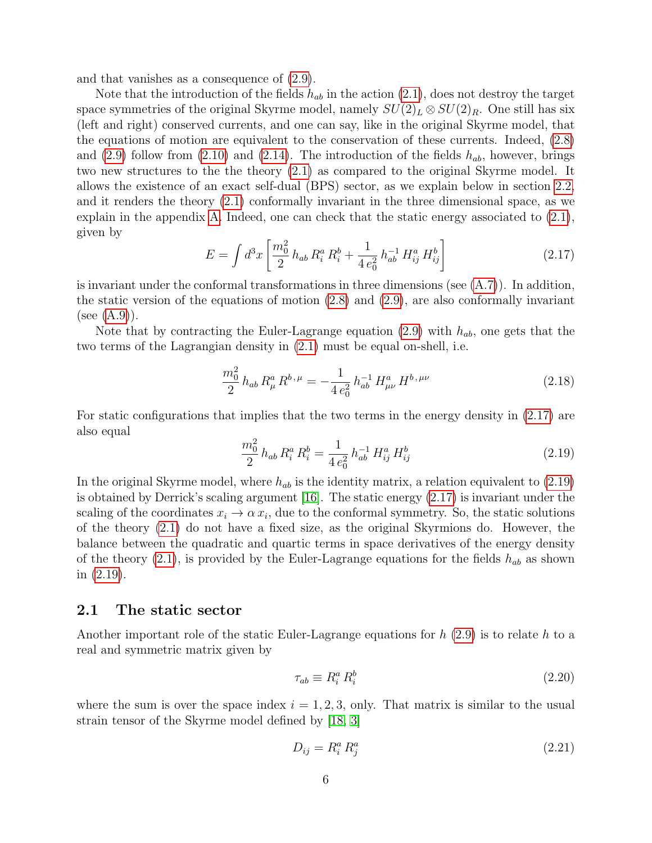and that vanishes as a consequence of [\(2.9\)](#page-5-0).

Note that the introduction of the fields  $h_{ab}$  in the action  $(2.1)$ , does not destroy the target space symmetries of the original Skyrme model, namely  $SU(2)_L \otimes SU(2)_R$ . One still has six (left and right) conserved currents, and one can say, like in the original Skyrme model, that the equations of motion are equivalent to the conservation of these currents. Indeed, [\(2.8\)](#page-5-1) and  $(2.9)$  follow from  $(2.10)$  and  $(2.14)$ . The introduction of the fields  $h_{ab}$ , however, brings two new structures to the the theory [\(2.1\)](#page-4-1) as compared to the original Skyrme model. It allows the existence of an exact self-dual (BPS) sector, as we explain below in section [2.2,](#page-9-0) and it renders the theory [\(2.1\)](#page-4-1) conformally invariant in the three dimensional space, as we explain in the appendix [A.](#page-18-0) Indeed, one can check that the static energy associated to [\(2.1\)](#page-4-1), given by

<span id="page-6-0"></span>
$$
E = \int d^3x \left[ \frac{m_0^2}{2} h_{ab} R_i^a R_i^b + \frac{1}{4 e_0^2} h_{ab}^{-1} H_{ij}^a H_{ij}^b \right]
$$
 (2.17)

is invariant under the conformal transformations in three dimensions (see [\(A.7\)](#page-19-0)). In addition, the static version of the equations of motion [\(2.8\)](#page-5-1) and [\(2.9\)](#page-5-0), are also conformally invariant (see  $(A.9)$ ).

Note that by contracting the Euler-Lagrange equation [\(2.9\)](#page-5-0) with  $h_{ab}$ , one gets that the two terms of the Lagrangian density in [\(2.1\)](#page-4-1) must be equal on-shell, i.e.

$$
\frac{m_0^2}{2} h_{ab} R^a_\mu R^{b,\mu} = -\frac{1}{4 e_0^2} h_{ab}^{-1} H^a_{\mu\nu} H^{b,\mu\nu}
$$
 (2.18)

For static configurations that implies that the two terms in the energy density in [\(2.17\)](#page-6-0) are also equal

<span id="page-6-1"></span>
$$
\frac{m_0^2}{2} h_{ab} R_i^a R_i^b = \frac{1}{4 e_0^2} h_{ab}^{-1} H_{ij}^a H_{ij}^b
$$
 (2.19)

In the original Skyrme model, where  $h_{ab}$  is the identity matrix, a relation equivalent to  $(2.19)$ is obtained by Derrick's scaling argument [\[16\]](#page-23-7). The static energy [\(2.17\)](#page-6-0) is invariant under the scaling of the coordinates  $x_i \to \alpha x_i$ , due to the conformal symmetry. So, the static solutions of the theory [\(2.1\)](#page-4-1) do not have a fixed size, as the original Skyrmions do. However, the balance between the quadratic and quartic terms in space derivatives of the energy density of the theory [\(2.1\)](#page-4-1), is provided by the Euler-Lagrange equations for the fields  $h_{ab}$  as shown in [\(2.19\)](#page-6-1).

#### 2.1 The static sector

Another important role of the static Euler-Lagrange equations for  $h(2.9)$  $h(2.9)$  is to relate h to a real and symmetric matrix given by

<span id="page-6-2"></span>
$$
\tau_{ab} \equiv R_i^a \, R_i^b \tag{2.20}
$$

where the sum is over the space index  $i = 1, 2, 3$ , only. That matrix is similar to the usual strain tensor of the Skyrme model defined by [\[18,](#page-23-9) [3\]](#page-22-2)

<span id="page-6-3"></span>
$$
D_{ij} = R_i^a R_j^a \tag{2.21}
$$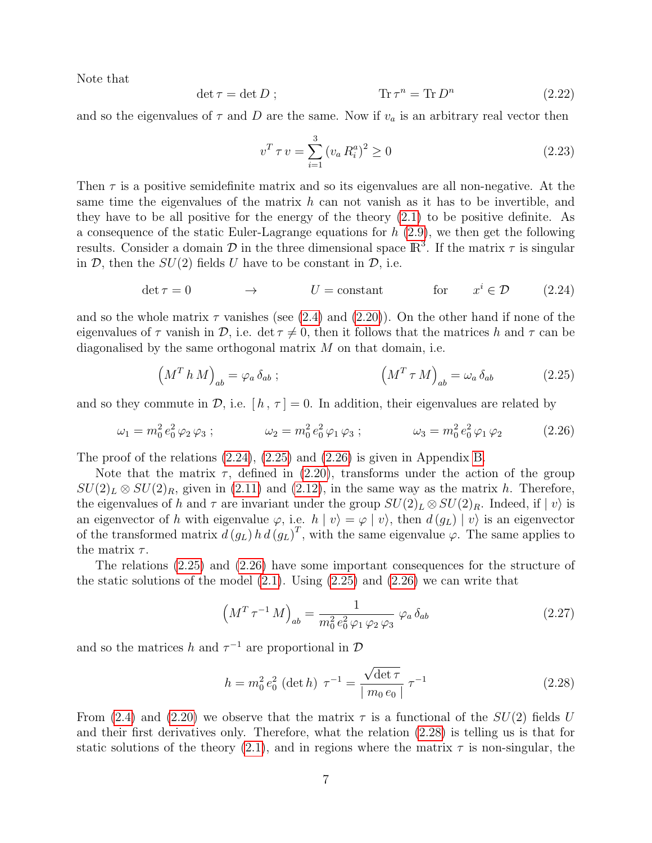Note that

$$
\det \tau = \det D ; \qquad \qquad \text{Tr}\,\tau^n = \text{Tr}\,D^n \qquad (2.22)
$$

and so the eigenvalues of  $\tau$  and D are the same. Now if  $v_a$  is an arbitrary real vector then

<span id="page-7-4"></span>
$$
v^T \tau v = \sum_{i=1}^3 (v_a R_i^a)^2 \ge 0
$$
\n(2.23)

Then  $\tau$  is a positive semidefinite matrix and so its eigenvalues are all non-negative. At the same time the eigenvalues of the matrix  $h$  can not vanish as it has to be invertible, and they have to be all positive for the energy of the theory [\(2.1\)](#page-4-1) to be positive definite. As a consequence of the static Euler-Lagrange equations for  $h(2.9)$  $h(2.9)$ , we then get the following results. Consider a domain  $\mathcal D$  in the three dimensional space  $\mathbb R^3$ . If the matrix  $\tau$  is singular in  $\mathcal{D}$ , then the  $SU(2)$  fields U have to be constant in  $\mathcal{D}$ , i.e.

<span id="page-7-0"></span>
$$
\det \tau = 0 \qquad \longrightarrow \qquad U = \text{constant} \qquad \text{for} \qquad x^i \in \mathcal{D} \qquad (2.24)
$$

and so the whole matrix  $\tau$  vanishes (see [\(2.4\)](#page-4-2) and [\(2.20\)](#page-6-2)). On the other hand if none of the eigenvalues of  $\tau$  vanish in  $\mathcal{D}$ , i.e. det  $\tau \neq 0$ , then it follows that the matrices h and  $\tau$  can be diagonalised by the same orthogonal matrix  $M$  on that domain, i.e.

<span id="page-7-1"></span>
$$
\left(M^T h M\right)_{ab} = \varphi_a \,\delta_{ab} \; ; \qquad \qquad \left(M^T \,\tau \, M\right)_{ab} = \omega_a \,\delta_{ab} \tag{2.25}
$$

and so they commute in  $\mathcal{D}$ , i.e.  $[h, \tau] = 0$ . In addition, their eigenvalues are related by

<span id="page-7-2"></span>
$$
\omega_1 = m_0^2 e_0^2 \varphi_2 \varphi_3 ; \qquad \qquad \omega_2 = m_0^2 e_0^2 \varphi_1 \varphi_3 ; \qquad \qquad \omega_3 = m_0^2 e_0^2 \varphi_1 \varphi_2 \qquad (2.26)
$$

The proof of the relations  $(2.24)$ ,  $(2.25)$  and  $(2.26)$  is given in Appendix [B.](#page-20-0)

Note that the matrix  $\tau$ , defined in [\(2.20\)](#page-6-2), transforms under the action of the group  $SU(2)_L \otimes SU(2)_R$ , given in [\(2.11\)](#page-5-2) and [\(2.12\)](#page-5-4), in the same way as the matrix h. Therefore, the eigenvalues of h and  $\tau$  are invariant under the group  $SU(2)_L \otimes SU(2)_R$ . Indeed, if  $|v\rangle$  is an eigenvector of h with eigenvalue  $\varphi$ , i.e.  $h | v \rangle = \varphi | v \rangle$ , then  $d(g_L) | v \rangle$  is an eigenvector of the transformed matrix  $d(g_L) h d(g_L)^T$ , with the same eigenvalue  $\varphi$ . The same applies to the matrix  $\tau$ .

The relations [\(2.25\)](#page-7-1) and [\(2.26\)](#page-7-2) have some important consequences for the structure of the static solutions of the model  $(2.1)$ . Using  $(2.25)$  and  $(2.26)$  we can write that

$$
\left(M^T \tau^{-1} M\right)_{ab} = \frac{1}{m_0^2 e_0^2 \varphi_1 \varphi_2 \varphi_3} \varphi_a \delta_{ab} \tag{2.27}
$$

and so the matrices h and  $\tau^{-1}$  are proportional in  $\mathcal{D}$ 

<span id="page-7-3"></span>
$$
h = m_0^2 e_0^2 \text{ (det } h) \ \tau^{-1} = \frac{\sqrt{\det \tau}}{|m_0 e_0|} \tau^{-1}
$$
 (2.28)

From [\(2.4\)](#page-4-2) and [\(2.20\)](#page-6-2) we observe that the matrix  $\tau$  is a functional of the  $SU(2)$  fields U and their first derivatives only. Therefore, what the relation [\(2.28\)](#page-7-3) is telling us is that for static solutions of the theory [\(2.1\)](#page-4-1), and in regions where the matrix  $\tau$  is non-singular, the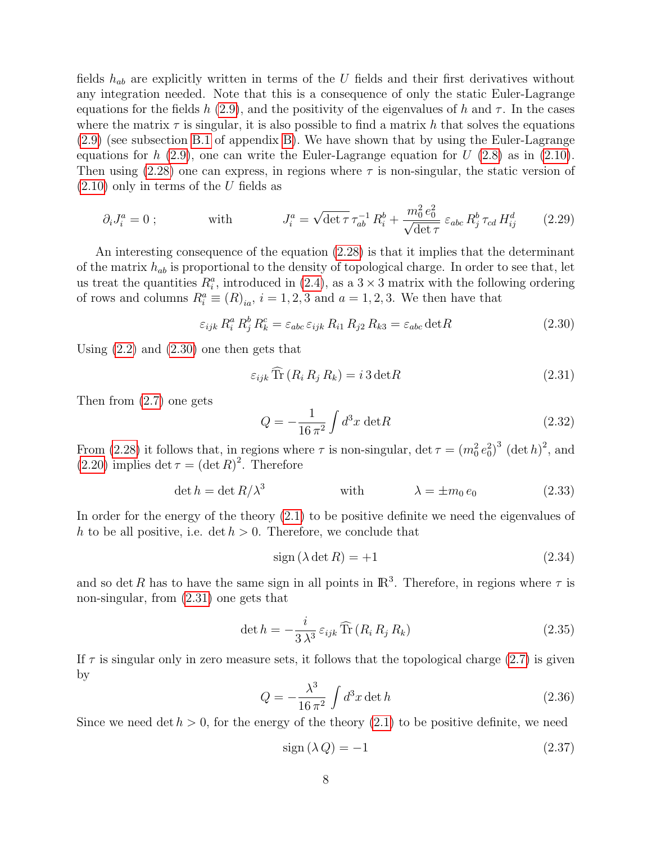fields  $h_{ab}$  are explicitly written in terms of the U fields and their first derivatives without any integration needed. Note that this is a consequence of only the static Euler-Lagrange equations for the fields h [\(2.9\)](#page-5-0), and the positivity of the eigenvalues of h and  $\tau$ . In the cases where the matrix  $\tau$  is singular, it is also possible to find a matrix h that solves the equations [\(2.9\)](#page-5-0) (see subsection [B.1](#page-21-0) of appendix [B\)](#page-20-0). We have shown that by using the Euler-Lagrange equations for h  $(2.9)$ , one can write the Euler-Lagrange equation for U  $(2.8)$  as in  $(2.10)$ . Then using  $(2.28)$  one can express, in regions where  $\tau$  is non-singular, the static version of  $(2.10)$  only in terms of the U fields as

$$
\partial_i J_i^a = 0 \; ; \qquad \text{with} \qquad J_i^a = \sqrt{\det \tau} \, \tau_{ab}^{-1} \, R_i^b + \frac{m_0^2 \, e_0^2}{\sqrt{\det \tau}} \, \varepsilon_{abc} \, R_j^b \, \tau_{cd} \, H_{ij}^d \qquad (2.29)
$$

An interesting consequence of the equation [\(2.28\)](#page-7-3) is that it implies that the determinant of the matrix  $h_{ab}$  is proportional to the density of topological charge. In order to see that, let us treat the quantities  $R_i^a$ , introduced in [\(2.4\)](#page-4-2), as a  $3 \times 3$  matrix with the following ordering of rows and columns  $R_i^a \equiv (R)_{ia}$ ,  $i = 1, 2, 3$  and  $a = 1, 2, 3$ . We then have that

<span id="page-8-0"></span>
$$
\varepsilon_{ijk} R_i^a R_j^b R_k^c = \varepsilon_{abc} \varepsilon_{ijk} R_{i1} R_{j2} R_{k3} = \varepsilon_{abc} \det R \tag{2.30}
$$

Using [\(2.2\)](#page-4-3) and [\(2.30\)](#page-8-0) one then gets that

<span id="page-8-1"></span>
$$
\varepsilon_{ijk} \operatorname{Tr} \left( R_i R_j R_k \right) = i \, 3 \det R \tag{2.31}
$$

Then from [\(2.7\)](#page-5-7) one gets

$$
Q = -\frac{1}{16\,\pi^2} \int d^3x \, \det R \tag{2.32}
$$

From [\(2.28\)](#page-7-3) it follows that, in regions where  $\tau$  is non-singular, det  $\tau = (m_0^2 e_0^2)^3$  (det h)<sup>2</sup>, and  $(2.20)$  implies det  $\tau = (\det R)^2$ . Therefore

<span id="page-8-3"></span>
$$
\det h = \det R/\lambda^3 \qquad \qquad \text{with} \qquad \qquad \lambda = \pm m_0 \, e_0 \tag{2.33}
$$

In order for the energy of the theory  $(2.1)$  to be positive definite we need the eigenvalues of h to be all positive, i.e.  $\det h > 0$ . Therefore, we conclude that

<span id="page-8-5"></span>
$$
sign(\lambda \det R) = +1 \tag{2.34}
$$

and so det R has to have the same sign in all points in  $\mathbb{R}^3$ . Therefore, in regions where  $\tau$  is non-singular, from [\(2.31\)](#page-8-1) one gets that

$$
\det h = -\frac{i}{3\lambda^3} \varepsilon_{ijk} \widehat{\text{Tr}} \left( R_i R_j R_k \right) \tag{2.35}
$$

If  $\tau$  is singular only in zero measure sets, it follows that the topological charge [\(2.7\)](#page-5-7) is given by

<span id="page-8-4"></span>
$$
Q = -\frac{\lambda^3}{16\,\pi^2} \int d^3x \det h \tag{2.36}
$$

Since we need det  $h > 0$ , for the energy of the theory  $(2.1)$  to be positive definite, we need

<span id="page-8-2"></span>
$$
sign\left(\lambda Q\right) = -1\tag{2.37}
$$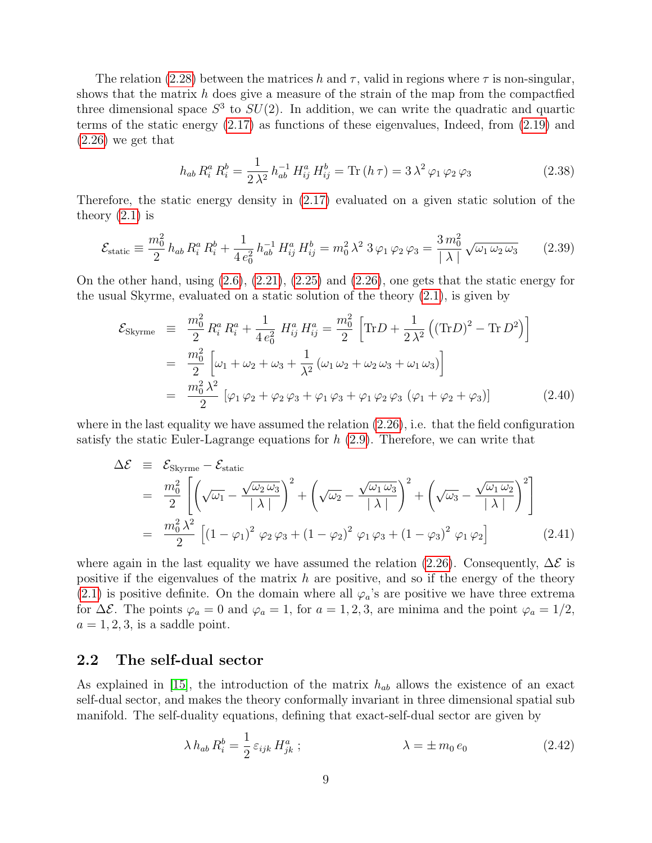The relation [\(2.28\)](#page-7-3) between the matrices h and  $\tau$ , valid in regions where  $\tau$  is non-singular. shows that the matrix  $h$  does give a measure of the strain of the map from the compact fied three dimensional space  $S^3$  to  $SU(2)$ . In addition, we can write the quadratic and quartic terms of the static energy [\(2.17\)](#page-6-0) as functions of these eigenvalues, Indeed, from [\(2.19\)](#page-6-1) and [\(2.26\)](#page-7-2) we get that

$$
h_{ab} R_i^a R_i^b = \frac{1}{2\lambda^2} h_{ab}^{-1} H_{ij}^a H_{ij}^b = \text{Tr}(h\,\tau) = 3\,\lambda^2 \,\varphi_1 \,\varphi_2 \,\varphi_3 \tag{2.38}
$$

Therefore, the static energy density in [\(2.17\)](#page-6-0) evaluated on a given static solution of the theory  $(2.1)$  is

$$
\mathcal{E}_{\text{static}} \equiv \frac{m_0^2}{2} h_{ab} R_i^a R_i^b + \frac{1}{4 e_0^2} h_{ab}^{-1} H_{ij}^a H_{ij}^b = m_0^2 \lambda^2 \, 3 \varphi_1 \varphi_2 \varphi_3 = \frac{3 \, m_0^2}{|\lambda|} \sqrt{\omega_1 \omega_2 \omega_3} \tag{2.39}
$$

On the other hand, using [\(2.6\)](#page-4-4), [\(2.21\)](#page-6-3), [\(2.25\)](#page-7-1) and [\(2.26\)](#page-7-2), one gets that the static energy for the usual Skyrme, evaluated on a static solution of the theory [\(2.1\)](#page-4-1), is given by

$$
\mathcal{E}_{\text{Skyrme}} = \frac{m_0^2}{2} R_i^a R_i^a + \frac{1}{4 e_0^2} H_{ij}^a H_{ij}^a = \frac{m_0^2}{2} \left[ \text{Tr} D + \frac{1}{2 \lambda^2} \left( (\text{Tr} D)^2 - \text{Tr} D^2 \right) \right]
$$
  
\n
$$
= \frac{m_0^2}{2} \left[ \omega_1 + \omega_2 + \omega_3 + \frac{1}{\lambda^2} \left( \omega_1 \omega_2 + \omega_2 \omega_3 + \omega_1 \omega_3 \right) \right]
$$
  
\n
$$
= \frac{m_0^2 \lambda^2}{2} \left[ \varphi_1 \varphi_2 + \varphi_2 \varphi_3 + \varphi_1 \varphi_3 + \varphi_1 \varphi_2 \varphi_3 \left( \varphi_1 + \varphi_2 + \varphi_3 \right) \right]
$$
(2.40)

where in the last equality we have assumed the relation  $(2.26)$ , i.e. that the field configuration satisfy the static Euler-Lagrange equations for  $h(2.9)$  $h(2.9)$ . Therefore, we can write that

$$
\Delta \mathcal{E} \equiv \mathcal{E}_{\text{Skyrme}} - \mathcal{E}_{\text{static}}
$$
  
= 
$$
\frac{m_0^2}{2} \left[ \left( \sqrt{\omega_1} - \frac{\sqrt{\omega_2 \omega_3}}{|\lambda|} \right)^2 + \left( \sqrt{\omega_2} - \frac{\sqrt{\omega_1 \omega_3}}{|\lambda|} \right)^2 + \left( \sqrt{\omega_3} - \frac{\sqrt{\omega_1 \omega_2}}{|\lambda|} \right)^2 \right]
$$
  
= 
$$
\frac{m_0^2 \lambda^2}{2} \left[ \left( 1 - \varphi_1 \right)^2 \varphi_2 \varphi_3 + \left( 1 - \varphi_2 \right)^2 \varphi_1 \varphi_3 + \left( 1 - \varphi_3 \right)^2 \varphi_1 \varphi_2 \right]
$$
(2.41)

where again in the last equality we have assumed the relation [\(2.26\)](#page-7-2). Consequently,  $\Delta \mathcal{E}$  is positive if the eigenvalues of the matrix  $h$  are positive, and so if the energy of the theory [\(2.1\)](#page-4-1) is positive definite. On the domain where all  $\varphi_a$ 's are positive we have three extrema for  $\Delta \mathcal{E}$ . The points  $\varphi_a = 0$  and  $\varphi_a = 1$ , for  $a = 1, 2, 3$ , are minima and the point  $\varphi_a = 1/2$ ,  $a = 1, 2, 3$ , is a saddle point.

#### <span id="page-9-0"></span>2.2 The self-dual sector

As explained in [\[15\]](#page-23-6), the introduction of the matrix  $h_{ab}$  allows the existence of an exact self-dual sector, and makes the theory conformally invariant in three dimensional spatial sub manifold. The self-duality equations, defining that exact-self-dual sector are given by

<span id="page-9-1"></span>
$$
\lambda h_{ab} R_i^b = \frac{1}{2} \varepsilon_{ijk} H_{jk}^a ; \qquad \lambda = \pm m_0 e_0 \qquad (2.42)
$$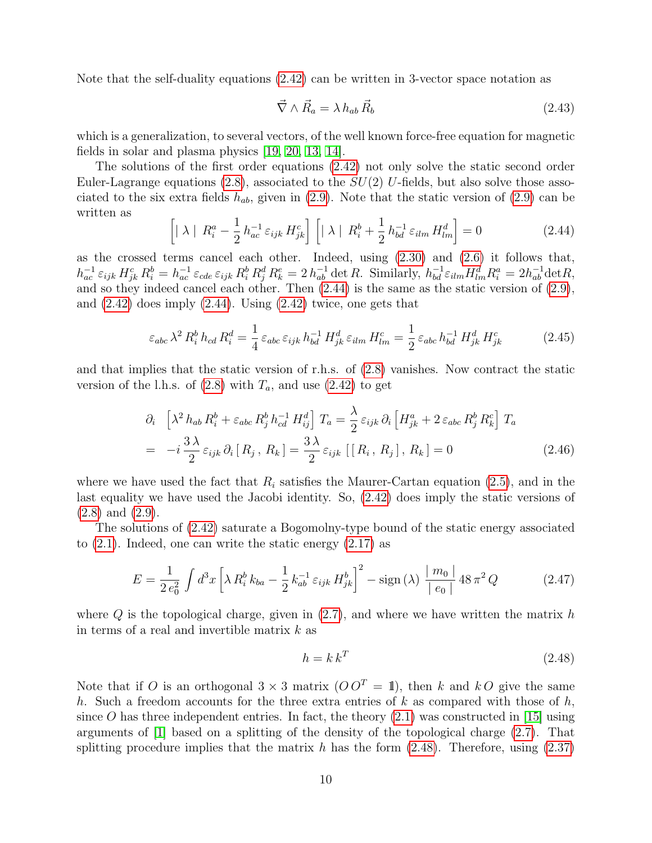Note that the self-duality equations [\(2.42\)](#page-9-1) can be written in 3-vector space notation as

$$
\vec{\nabla} \wedge \vec{R}_a = \lambda \, h_{ab} \, \vec{R}_b \tag{2.43}
$$

which is a generalization, to several vectors, of the well known force-free equation for magnetic fields in solar and plasma physics [\[19,](#page-23-10) [20,](#page-23-11) [13,](#page-23-4) [14\]](#page-23-5).

The solutions of the first order equations [\(2.42\)](#page-9-1) not only solve the static second order Euler-Lagrange equations [\(2.8\)](#page-5-1), associated to the  $SU(2)$  U-fields, but also solve those associated to the six extra fields  $h_{ab}$ , given in [\(2.9\)](#page-5-0). Note that the static version of (2.9) can be written as

<span id="page-10-0"></span>
$$
\left[ \mid \lambda \mid R_i^a - \frac{1}{2} h_{ac}^{-1} \varepsilon_{ijk} H_{jk}^c \right] \left[ \mid \lambda \mid R_i^b + \frac{1}{2} h_{bd}^{-1} \varepsilon_{ilm} H_{lm}^d \right] = 0 \tag{2.44}
$$

as the crossed terms cancel each other. Indeed, using  $(2.30)$  and  $(2.6)$  it follows that,  $h_{ac}^{-1} \varepsilon_{ijk} H_{jk}^c R_i^b = h_{ac}^{-1} \varepsilon_{cde} \varepsilon_{ijk} R_i^b R_j^d R_k^e = 2 h_{ab}^{-1} \det R$ . Similarly,  $h_{bd}^{-1} \varepsilon_{ilm} H_{lm}^d R_i^a = 2 h_{ab}^{-1} \det R$ , and so they indeed cancel each other. Then [\(2.44\)](#page-10-0) is the same as the static version of [\(2.9\)](#page-5-0), and  $(2.42)$  does imply  $(2.44)$ . Using  $(2.42)$  twice, one gets that

$$
\varepsilon_{abc} \lambda^2 R_i^b h_{cd} R_i^d = \frac{1}{4} \varepsilon_{abc} \varepsilon_{ijk} h_{bd}^{-1} H_{jk}^d \varepsilon_{ilm} H_{lm}^c = \frac{1}{2} \varepsilon_{abc} h_{bd}^{-1} H_{jk}^d H_{jk}^c \tag{2.45}
$$

and that implies that the static version of r.h.s. of [\(2.8\)](#page-5-1) vanishes. Now contract the static version of the l.h.s. of  $(2.8)$  with  $T_a$ , and use  $(2.42)$  to get

$$
\partial_{i} \left[ \lambda^{2} h_{ab} R_{i}^{b} + \varepsilon_{abc} R_{j}^{b} h_{cd}^{-1} H_{ij}^{d} \right] T_{a} = \frac{\lambda}{2} \varepsilon_{ijk} \partial_{i} \left[ H_{jk}^{a} + 2 \varepsilon_{abc} R_{j}^{b} R_{k}^{c} \right] T_{a}
$$

$$
= -i \frac{3\lambda}{2} \varepsilon_{ijk} \partial_{i} \left[ R_{j}, R_{k} \right] = \frac{3\lambda}{2} \varepsilon_{ijk} \left[ \left[ R_{i}, R_{j} \right], R_{k} \right] = 0 \tag{2.46}
$$

where we have used the fact that  $R_i$  satisfies the Maurer-Cartan equation [\(2.5\)](#page-4-5), and in the last equality we have used the Jacobi identity. So, [\(2.42\)](#page-9-1) does imply the static versions of [\(2.8\)](#page-5-1) and [\(2.9\)](#page-5-0).

The solutions of [\(2.42\)](#page-9-1) saturate a Bogomolny-type bound of the static energy associated to  $(2.1)$ . Indeed, one can write the static energy  $(2.17)$  as

$$
E = \frac{1}{2e_0^2} \int d^3x \left[ \lambda R_i^b k_{ba} - \frac{1}{2} k_{ab}^{-1} \varepsilon_{ijk} H_{jk}^b \right]^2 - \text{sign}(\lambda) \left. \frac{|m_0|}{|e_0|} 48 \pi^2 Q \right] \tag{2.47}
$$

where  $Q$  is the topological charge, given in  $(2.7)$ , and where we have written the matrix h in terms of a real and invertible matrix  $k$  as

<span id="page-10-1"></span>
$$
h = k k^T \tag{2.48}
$$

Note that if O is an orthogonal  $3 \times 3$  matrix  $(O O<sup>T</sup> = 1)$ , then k and kO give the same h. Such a freedom accounts for the three extra entries of  $k$  as compared with those of  $h$ , since O has three independent entries. In fact, the theory  $(2.1)$  was constructed in [\[15\]](#page-23-6) using arguments of [\[1\]](#page-22-0) based on a splitting of the density of the topological charge [\(2.7\)](#page-5-7). That splitting procedure implies that the matrix h has the form  $(2.48)$ . Therefore, using  $(2.37)$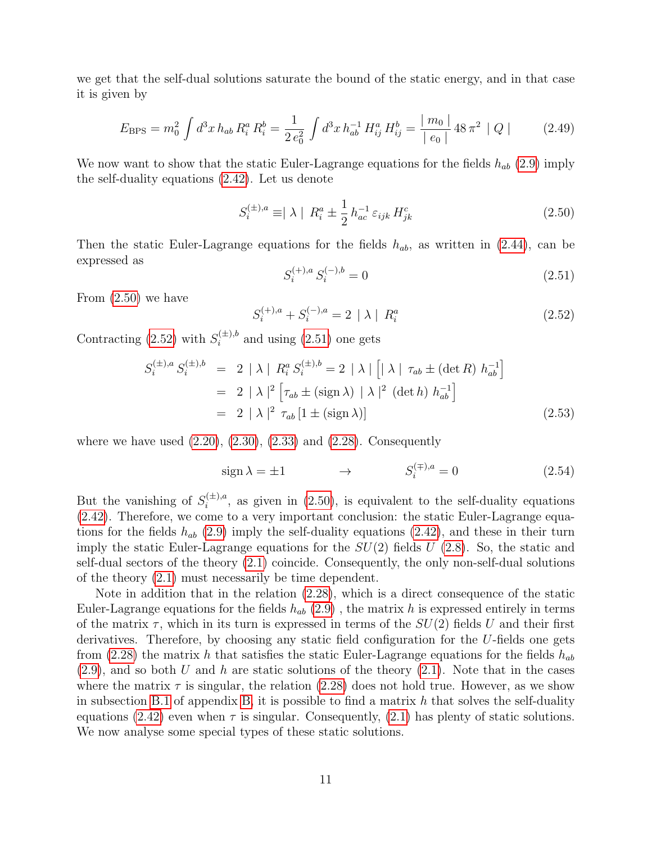we get that the self-dual solutions saturate the bound of the static energy, and in that case it is given by

$$
E_{\rm BPS} = m_0^2 \int d^3x \, h_{ab} \, R_i^a \, R_i^b = \frac{1}{2 \, e_0^2} \int d^3x \, h_{ab}^{-1} \, H_{ij}^a \, H_{ij}^b = \frac{|m_0|}{|e_0|} \, 48 \, \pi^2 \, |Q| \tag{2.49}
$$

We now want to show that the static Euler-Lagrange equations for the fields  $h_{ab}$  [\(2.9\)](#page-5-0) imply the self-duality equations [\(2.42\)](#page-9-1). Let us denote

<span id="page-11-0"></span>
$$
S_i^{(\pm),a} \equiv |\lambda| R_i^a \pm \frac{1}{2} h_{ac}^{-1} \varepsilon_{ijk} H_{jk}^c
$$
 (2.50)

Then the static Euler-Lagrange equations for the fields  $h_{ab}$ , as written in [\(2.44\)](#page-10-0), can be expressed as

<span id="page-11-2"></span>
$$
S_i^{(+),a} S_i^{(-),b} = 0 \tag{2.51}
$$

From [\(2.50\)](#page-11-0) we have

<span id="page-11-1"></span>
$$
S_i^{(+),a} + S_i^{(-),a} = 2 | \lambda | R_i^a
$$
 (2.52)

Contracting [\(2.52\)](#page-11-1) with  $S_i^{(\pm),b}$  and using [\(2.51\)](#page-11-2) one gets

$$
S_i^{(\pm),a} S_i^{(\pm),b} = 2 |\lambda| R_i^a S_i^{(\pm),b} = 2 |\lambda| \left[ |\lambda| \tau_{ab} \pm (\det R) h_{ab}^{-1} \right]
$$
  

$$
= 2 |\lambda|^2 \left[ \tau_{ab} \pm (\text{sign} \lambda) |\lambda|^2 (\det h) h_{ab}^{-1} \right]
$$
  

$$
= 2 |\lambda|^2 \tau_{ab} [1 \pm (\text{sign} \lambda)]
$$
 (2.53)

where we have used  $(2.20)$ ,  $(2.30)$ ,  $(2.33)$  and  $(2.28)$ . Consequently

$$
\text{sign}\,\lambda = \pm 1 \qquad \qquad \rightarrow \qquad \qquad S_i^{(\mp),a} = 0 \tag{2.54}
$$

But the vanishing of  $S_i^{(\pm),a}$  $i^{(\pm),a}$ , as given in [\(2.50\)](#page-11-0), is equivalent to the self-duality equations [\(2.42\)](#page-9-1). Therefore, we come to a very important conclusion: the static Euler-Lagrange equations for the fields  $h_{ab}$  [\(2.9\)](#page-5-0) imply the self-duality equations [\(2.42\)](#page-9-1), and these in their turn imply the static Euler-Lagrange equations for the  $SU(2)$  fields  $U(2.8)$  $U(2.8)$ . So, the static and self-dual sectors of the theory [\(2.1\)](#page-4-1) coincide. Consequently, the only non-self-dual solutions of the theory [\(2.1\)](#page-4-1) must necessarily be time dependent.

Note in addition that in the relation [\(2.28\)](#page-7-3), which is a direct consequence of the static Euler-Lagrange equations for the fields  $h_{ab}$  [\(2.9\)](#page-5-0), the matrix h is expressed entirely in terms of the matrix  $\tau$ , which in its turn is expressed in terms of the  $SU(2)$  fields U and their first derivatives. Therefore, by choosing any static field configuration for the U-fields one gets from [\(2.28\)](#page-7-3) the matrix h that satisfies the static Euler-Lagrange equations for the fields  $h_{ab}$  $(2.9)$ , and so both U and h are static solutions of the theory  $(2.1)$ . Note that in the cases where the matrix  $\tau$  is singular, the relation [\(2.28\)](#page-7-3) does not hold true. However, as we show in subsection [B.1](#page-21-0) of appendix [B,](#page-20-0) it is possible to find a matrix  $h$  that solves the self-duality equations [\(2.42\)](#page-9-1) even when  $\tau$  is singular. Consequently, [\(2.1\)](#page-4-1) has plenty of static solutions. We now analyse some special types of these static solutions.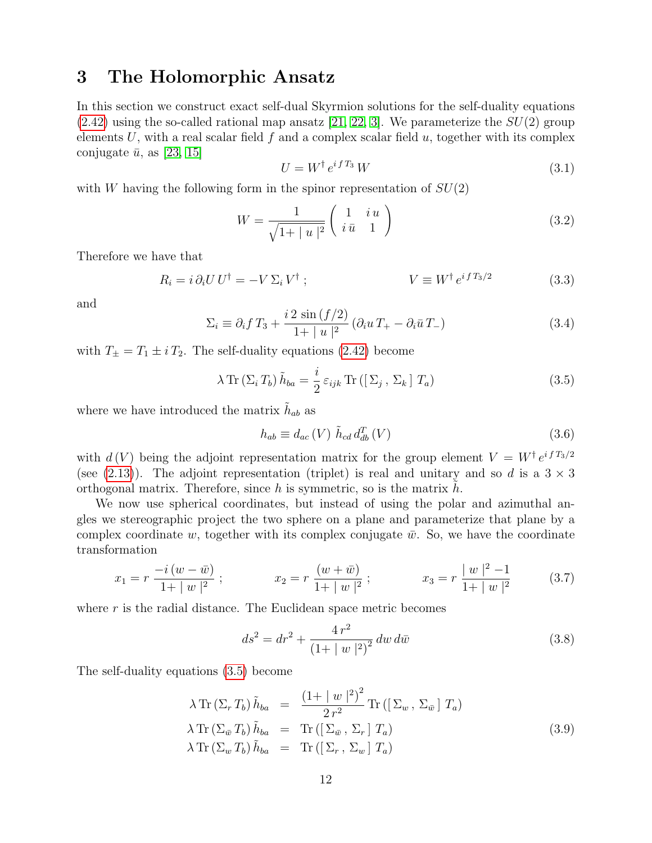### <span id="page-12-0"></span>3 The Holomorphic Ansatz

In this section we construct exact self-dual Skyrmion solutions for the self-duality equations  $(2.42)$  using the so-called rational map ansatz [\[21,](#page-23-12) [22,](#page-23-13) [3\]](#page-22-2). We parameterize the  $SU(2)$  group elements U, with a real scalar field f and a complex scalar field  $u$ , together with its complex conjugate  $\bar{u}$ , as [\[23,](#page-23-14) [15\]](#page-23-6)

<span id="page-12-5"></span>
$$
U = W^{\dagger} e^{i f T_3} W \tag{3.1}
$$

with W having the following form in the spinor representation of  $SU(2)$ 

$$
W = \frac{1}{\sqrt{1+|u|^2}} \begin{pmatrix} 1 & iu \\ i\bar{u} & 1 \end{pmatrix}
$$
 (3.2)

Therefore we have that

$$
R_i = i \partial_i U U^{\dagger} = -V \Sigma_i V^{\dagger} ; \qquad \qquad V \equiv W^{\dagger} e^{i f T_3 / 2} \qquad (3.3)
$$

and

$$
\Sigma_i \equiv \partial_i f T_3 + \frac{i \, 2 \, \sin \left( \frac{f}{2} \right)}{1 + |u|^2} \left( \partial_i u \, T_+ - \partial_i \bar{u} \, T_- \right) \tag{3.4}
$$

with  $T_{\pm} = T_1 \pm i T_2$ . The self-duality equations [\(2.42\)](#page-9-1) become

<span id="page-12-1"></span>
$$
\lambda \operatorname{Tr} \left( \Sigma_i T_b \right) \tilde{h}_{ba} = \frac{i}{2} \, \varepsilon_{ijk} \operatorname{Tr} \left( \left[ \Sigma_j \, , \, \Sigma_k \right] T_a \right) \tag{3.5}
$$

where we have introduced the matrix  $\tilde{h}_{ab}$  as

<span id="page-12-3"></span>
$$
h_{ab} \equiv d_{ac} \left( V \right) \tilde{h}_{cd} d_{db}^T \left( V \right) \tag{3.6}
$$

with  $d(V)$  being the adjoint representation matrix for the group element  $V = W^{\dagger} e^{i f T_3/2}$ (see [\(2.13\)](#page-5-8)). The adjoint representation (triplet) is real and unitary and so d is a  $3 \times 3$ orthogonal matrix. Therefore, since h is symmetric, so is the matrix  $h$ .

We now use spherical coordinates, but instead of using the polar and azimuthal angles we stereographic project the two sphere on a plane and parameterize that plane by a complex coordinate w, together with its complex conjugate  $\bar{w}$ . So, we have the coordinate transformation

$$
x_1 = r \frac{-i (w - \bar{w})}{1 + |w|^2} ; \qquad \qquad x_2 = r \frac{(w + \bar{w})}{1 + |w|^2} ; \qquad \qquad x_3 = r \frac{|w|^2 - 1}{1 + |w|^2} \qquad (3.7)
$$

where  $r$  is the radial distance. The Euclidean space metric becomes

<span id="page-12-4"></span>
$$
ds^{2} = dr^{2} + \frac{4 r^{2}}{(1 + |w|^{2})^{2}} dw d\bar{w}
$$
\n(3.8)

The self-duality equations [\(3.5\)](#page-12-1) become

<span id="page-12-2"></span>
$$
\lambda \operatorname{Tr} \left( \Sigma_r T_b \right) \tilde{h}_{ba} = \frac{\left( 1 + |w|^2 \right)^2}{2 r^2} \operatorname{Tr} \left( \left[ \Sigma_w , \Sigma_{\bar{w}} \right] T_a \right)
$$
  
\n
$$
\lambda \operatorname{Tr} \left( \Sigma_{\bar{w}} T_b \right) \tilde{h}_{ba} = \operatorname{Tr} \left( \left[ \Sigma_{\bar{w}} , \Sigma_r \right] T_a \right)
$$
  
\n
$$
\lambda \operatorname{Tr} \left( \Sigma_w T_b \right) \tilde{h}_{ba} = \operatorname{Tr} \left( \left[ \Sigma_r , \Sigma_w \right] T_a \right)
$$
\n(3.9)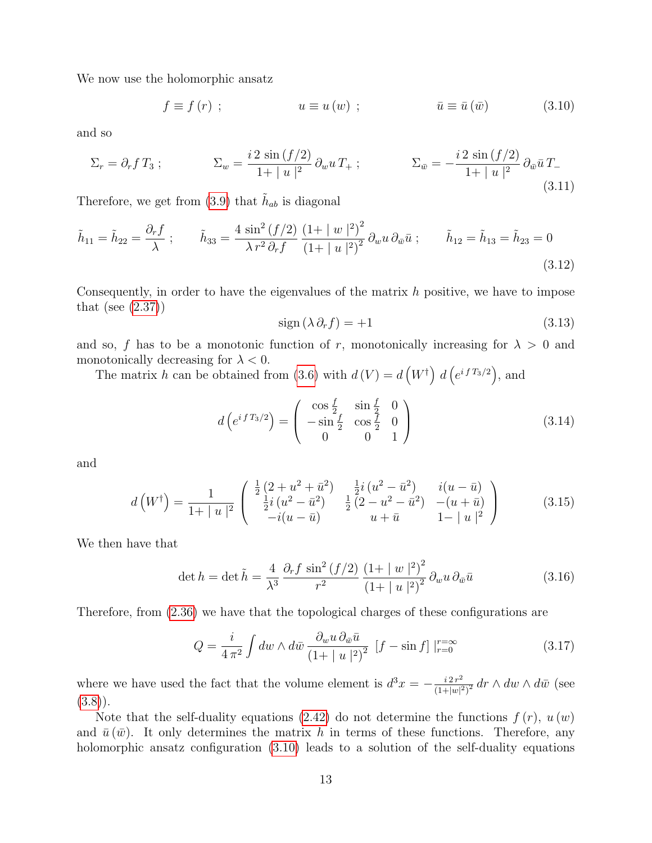We now use the holomorphic ansatz

<span id="page-13-0"></span>
$$
f \equiv f(r) ; \qquad \qquad u \equiv u(w) ; \qquad \qquad \bar{u} \equiv \bar{u}(\bar{w}) \qquad (3.10)
$$

and so

$$
\Sigma_r = \partial_r f T_3 ; \qquad \Sigma_w = \frac{i \, 2 \, \sin \left( \frac{f}{2} \right)}{1 + |u|^2} \, \partial_w u \, T_+ ; \qquad \Sigma_{\bar{w}} = -\frac{i \, 2 \, \sin \left( \frac{f}{2} \right)}{1 + |u|^2} \, \partial_{\bar{w}} \bar{u} \, T_- \tag{3.11}
$$

Therefore, we get from [\(3.9\)](#page-12-2) that  $\tilde{h}_{ab}$  is diagonal

<span id="page-13-2"></span>
$$
\tilde{h}_{11} = \tilde{h}_{22} = \frac{\partial_r f}{\lambda} ; \qquad \tilde{h}_{33} = \frac{4 \sin^2 \left(\frac{f}{2}\right)}{\lambda r^2 \partial_r f} \frac{\left(1 + |w|^2\right)^2}{\left(1 + |u|^2\right)^2} \partial_w u \partial_{\bar{w}} \bar{u} ; \qquad \tilde{h}_{12} = \tilde{h}_{13} = \tilde{h}_{23} = 0 \tag{3.12}
$$

Consequently, in order to have the eigenvalues of the matrix  $h$  positive, we have to impose that (see  $(2.37)$ )

<span id="page-13-3"></span>
$$
sign(\lambda \partial_r f) = +1 \tag{3.13}
$$

and so, f has to be a monotonic function of r, monotonically increasing for  $\lambda > 0$  and monotonically decreasing for  $\lambda < 0$ .

The matrix h can be obtained from [\(3.6\)](#page-12-3) with  $d(V) = d(V^{\dagger}) d(e^{i f T_3/2})$ , and

$$
d\left(e^{i f T_3/2}\right) = \begin{pmatrix} \cos\frac{f}{2} & \sin\frac{f}{2} & 0\\ -\sin\frac{f}{2} & \cos\frac{f}{2} & 0\\ 0 & 0 & 1 \end{pmatrix}
$$
 (3.14)

and

$$
d\left(W^{\dagger}\right) = \frac{1}{1+|u|^2} \begin{pmatrix} \frac{1}{2}\left(2+u^2+\bar{u}^2\right) & \frac{1}{2}i\left(u^2-\bar{u}^2\right) & i(u-\bar{u})\\ \frac{1}{2}i\left(u^2-\bar{u}^2\right) & \frac{1}{2}\left(2-u^2-\bar{u}^2\right) & -(u+\bar{u})\\ -i(u-\bar{u}) & u+\bar{u} & 1-|u|^2 \end{pmatrix}
$$
(3.15)

We then have that

$$
\det h = \det \tilde{h} = \frac{4}{\lambda^3} \frac{\partial_r f \sin^2 (f/2)}{r^2} \frac{\left(1 + |w|^2\right)^2}{\left(1 + |u|^2\right)^2} \partial_w u \partial_{\bar{w}} \bar{u}
$$
(3.16)

Therefore, from [\(2.36\)](#page-8-4) we have that the topological charges of these configurations are

<span id="page-13-1"></span>
$$
Q = \frac{i}{4\pi^2} \int dw \wedge d\bar{w} \frac{\partial_w u \partial_{\bar{w}} \bar{u}}{\left(1 + |u|^2\right)^2} \left[f - \sin f\right] \Big|_{r=0}^{r=\infty} \tag{3.17}
$$

where we have used the fact that the volume element is  $d^3x = -\frac{i2r^2}{(1+|x|^2)}$  $\frac{i 2 r^2}{(1+|w|^2)^2} dr \wedge dw \wedge d\bar{w}$  (see  $(3.8)$ .

Note that the self-duality equations [\(2.42\)](#page-9-1) do not determine the functions  $f(r)$ ,  $u(w)$ and  $\bar{u}(\bar{w})$ . It only determines the matrix h in terms of these functions. Therefore, any holomorphic ansatz configuration  $(3.10)$  leads to a solution of the self-duality equations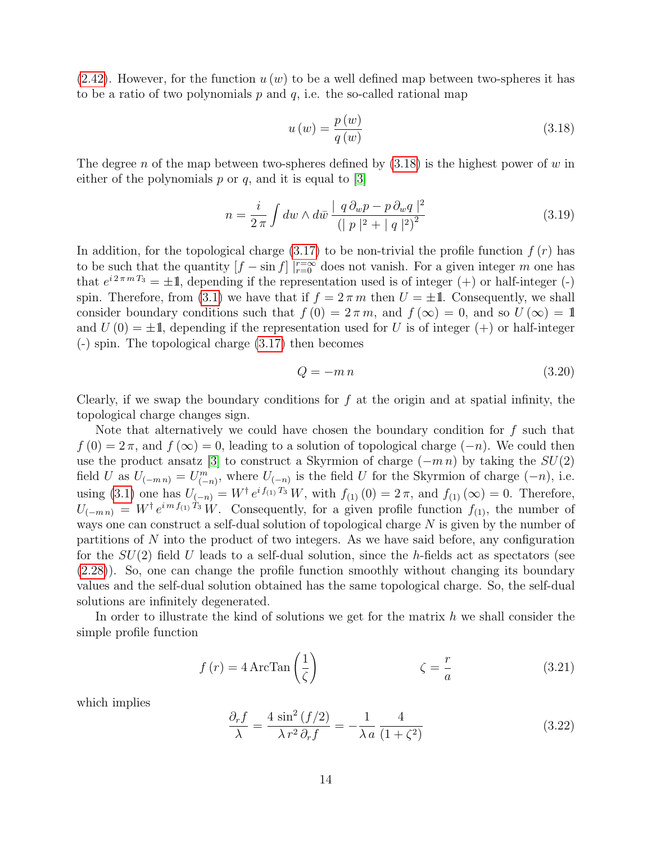$(2.42)$ . However, for the function  $u(w)$  to be a well defined map between two-spheres it has to be a ratio of two polynomials  $p$  and  $q$ , i.e. the so-called rational map

<span id="page-14-0"></span>
$$
u(w) = \frac{p(w)}{q(w)}\tag{3.18}
$$

The degree n of the map between two-spheres defined by  $(3.18)$  is the highest power of w in either of the polynomials  $p$  or  $q$ , and it is equal to [\[3\]](#page-22-2)

$$
n = \frac{i}{2\pi} \int dw \wedge d\bar{w} \frac{|q \partial_w p - p \partial_w q|^2}{(|p|^2 + |q|^2)^2}
$$
(3.19)

In addition, for the topological charge  $(3.17)$  to be non-trivial the profile function  $f(r)$  has to be such that the quantity  $[f - \sin f] \mid_{r=0}^{r=\infty}$  does not vanish. For a given integer m one has that  $e^{i2\pi mT_3} = \pm 1$ , depending if the representation used is of integer (+) or half-integer (-) spin. Therefore, from [\(3.1\)](#page-12-5) we have that if  $f = 2\pi m$  then  $U = \pm 1$ . Consequently, we shall consider boundary conditions such that  $f(0) = 2\pi m$ , and  $f(\infty) = 0$ , and so  $U(\infty) = 1$ and  $U(0) = \pm 1$ , depending if the representation used for U is of integer  $(+)$  or half-integer (-) spin. The topological charge [\(3.17\)](#page-13-1) then becomes

$$
Q = -m n \tag{3.20}
$$

Clearly, if we swap the boundary conditions for  $f$  at the origin and at spatial infinity, the topological charge changes sign.

Note that alternatively we could have chosen the boundary condition for  $f$  such that  $f(0) = 2\pi$ , and  $f(\infty) = 0$ , leading to a solution of topological charge  $(-n)$ . We could then use the product ansatz [\[3\]](#page-22-2) to construct a Skyrmion of charge  $(-m n)$  by taking the  $SU(2)$ field U as  $U_{(-m n)} = U_{(-n)}^m$ , where  $U_{(-n)}$  is the field U for the Skyrmion of charge  $(-n)$ , i.e. using [\(3.1\)](#page-12-5) one has  $U_{(-n)} = W^{\dagger} e^{i f_{(1)} T_3} W$ , with  $f_{(1)}(0) = 2 \pi$ , and  $f_{(1)}(\infty) = 0$ . Therefore,  $U_{(-mn)} = W^{\dagger} e^{im f_{(1)} T_3} W$ . Consequently, for a given profile function  $f_{(1)}$ , the number of ways one can construct a self-dual solution of topological charge N is given by the number of partitions of N into the product of two integers. As we have said before, any configuration for the  $SU(2)$  field U leads to a self-dual solution, since the h-fields act as spectators (see [\(2.28\)](#page-7-3)). So, one can change the profile function smoothly without changing its boundary values and the self-dual solution obtained has the same topological charge. So, the self-dual solutions are infinitely degenerated.

In order to illustrate the kind of solutions we get for the matrix  $h$  we shall consider the simple profile function

<span id="page-14-1"></span>
$$
f(r) = 4 \operatorname{ArcTan}\left(\frac{1}{\zeta}\right) \qquad \qquad \zeta = \frac{r}{a} \qquad (3.21)
$$

which implies

$$
\frac{\partial_r f}{\lambda} = \frac{4 \sin^2 \left(\frac{f}{2}\right)}{\lambda r^2 \partial_r f} = -\frac{1}{\lambda a} \frac{4}{\left(1 + \zeta^2\right)}\tag{3.22}
$$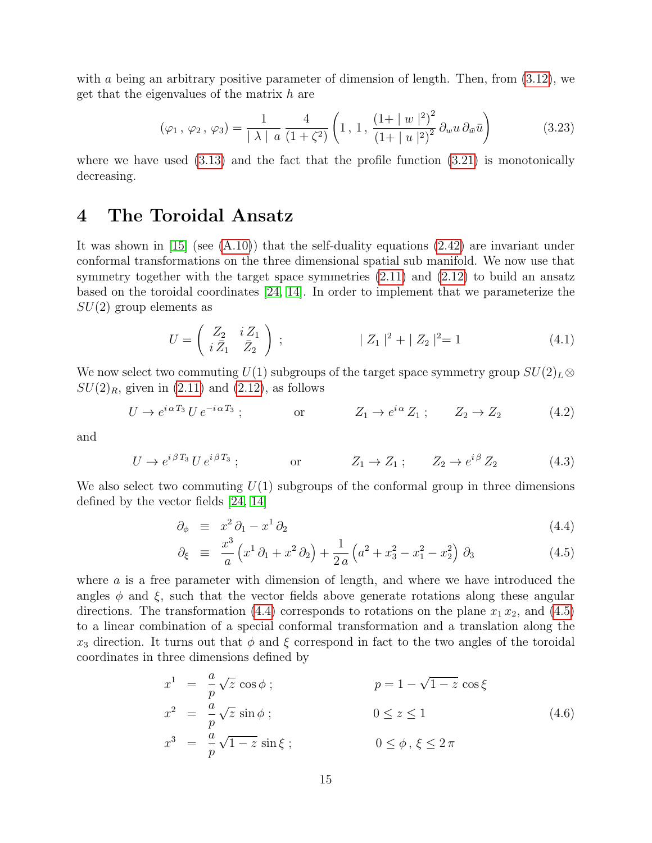with a being an arbitrary positive parameter of dimension of length. Then, from  $(3.12)$ , we get that the eigenvalues of the matrix  $h$  are

$$
(\varphi_1, \varphi_2, \varphi_3) = \frac{1}{|\lambda|} \frac{4}{a} \frac{4}{(1+\zeta^2)} \left(1, 1, \frac{(1+|w|^2)^2}{(1+|u|^2)^2} \partial_w u \partial_{\bar{w}} \bar{u}\right)
$$
(3.23)

where we have used  $(3.13)$  and the fact that the profile function  $(3.21)$  is monotonically decreasing.

### <span id="page-15-0"></span>4 The Toroidal Ansatz

It was shown in [\[15\]](#page-23-6) (see [\(A.10\)](#page-19-2)) that the self-duality equations [\(2.42\)](#page-9-1) are invariant under conformal transformations on the three dimensional spatial sub manifold. We now use that symmetry together with the target space symmetries  $(2.11)$  and  $(2.12)$  to build an ansatz based on the toroidal coordinates [\[24,](#page-24-0) [14\]](#page-23-5). In order to implement that we parameterize the  $SU(2)$  group elements as

<span id="page-15-4"></span>
$$
U = \begin{pmatrix} Z_2 & i Z_1 \\ i \bar{Z}_1 & \bar{Z}_2 \end{pmatrix} ; \qquad |Z_1|^2 + |Z_2|^2 = 1 \qquad (4.1)
$$

We now select two commuting  $U(1)$  subgroups of the target space symmetry group  $SU(2)_L\otimes$  $SU(2)_R$ , given in  $(2.11)$  and  $(2.12)$ , as follows

<span id="page-15-2"></span>
$$
U \to e^{i\alpha T_3} U e^{-i\alpha T_3}; \qquad \text{or} \qquad Z_1 \to e^{i\alpha} Z_1; \qquad Z_2 \to Z_2 \tag{4.2}
$$

and

<span id="page-15-3"></span>
$$
U \to e^{i\beta T_3} U e^{i\beta T_3}; \qquad \text{or} \qquad Z_1 \to Z_1; \qquad Z_2 \to e^{i\beta} Z_2 \qquad (4.3)
$$

We also select two commuting  $U(1)$  subgroups of the conformal group in three dimensions defined by the vector fields [\[24,](#page-24-0) [14\]](#page-23-5)

<span id="page-15-1"></span>
$$
\partial_{\phi} \equiv x^2 \partial_1 - x^1 \partial_2 \tag{4.4}
$$

$$
\partial_{\xi} \equiv \frac{x^3}{a} \left( x^1 \partial_1 + x^2 \partial_2 \right) + \frac{1}{2a} \left( a^2 + x_3^2 - x_1^2 - x_2^2 \right) \partial_3 \tag{4.5}
$$

where a is a free parameter with dimension of length, and where we have introduced the angles  $\phi$  and  $\xi$ , such that the vector fields above generate rotations along these angular directions. The transformation [\(4.4\)](#page-15-1) corresponds to rotations on the plane  $x_1 x_2$ , and [\(4.5\)](#page-15-1) to a linear combination of a special conformal transformation and a translation along the  $x_3$  direction. It turns out that  $\phi$  and  $\xi$  correspond in fact to the two angles of the toroidal coordinates in three dimensions defined by

$$
x^{1} = \frac{a}{p}\sqrt{z}\cos\phi ; \qquad p = 1 - \sqrt{1 - z}\cos\xi
$$
  
\n
$$
x^{2} = \frac{a}{p}\sqrt{z}\sin\phi ; \qquad 0 \le z \le 1
$$
  
\n
$$
x^{3} = \frac{a}{p}\sqrt{1 - z}\sin\xi ; \qquad 0 \le \phi, \xi \le 2\pi
$$
\n(4.6)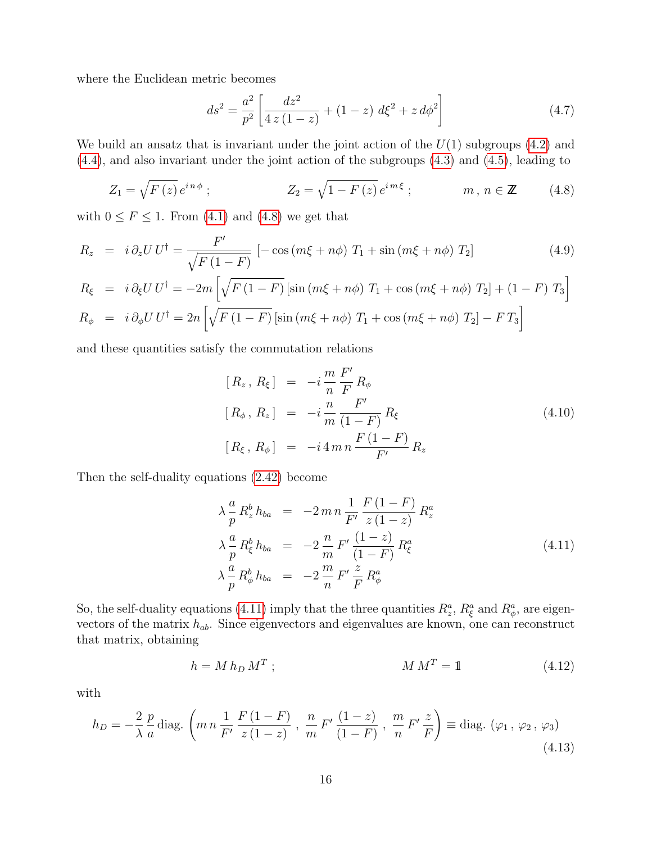where the Euclidean metric becomes

<span id="page-16-2"></span>
$$
ds^{2} = \frac{a^{2}}{p^{2}} \left[ \frac{dz^{2}}{4 z (1 - z)} + (1 - z) d\xi^{2} + z d\phi^{2} \right]
$$
 (4.7)

We build an ansatz that is invariant under the joint action of the  $U(1)$  subgroups  $(4.2)$  and [\(4.4\)](#page-15-1), and also invariant under the joint action of the subgroups [\(4.3\)](#page-15-3) and [\(4.5\)](#page-15-1), leading to

<span id="page-16-0"></span>
$$
Z_1 = \sqrt{F(z)} e^{in\phi} ; \qquad \qquad Z_2 = \sqrt{1 - F(z)} e^{im\xi} ; \qquad \qquad m, n \in \mathbb{Z} \qquad (4.8)
$$

with  $0 \le F \le 1$ . From [\(4.1\)](#page-15-4) and [\(4.8\)](#page-16-0) we get that

$$
R_z = i \partial_z U U^{\dagger} = \frac{F'}{\sqrt{F(1-F)}} \left[ -\cos(m\xi + n\phi) T_1 + \sin(m\xi + n\phi) T_2 \right]
$$
(4.9)

$$
R_{\xi} = i \partial_{\xi} U U^{\dagger} = -2m \left[ \sqrt{F(1-F)} \left[ \sin \left( m\xi + n\phi \right) T_1 + \cos \left( m\xi + n\phi \right) T_2 \right] + (1 - F) T_3 \right]
$$
  
\n
$$
R_{\phi} = i \partial_{\phi} U U^{\dagger} = 2n \left[ \sqrt{F(1-F)} \left[ \sin \left( m\xi + n\phi \right) T_1 + \cos \left( m\xi + n\phi \right) T_2 \right] - F T_3 \right]
$$

and these quantities satisfy the commutation relations

$$
[R_z, R_{\xi}] = -i \frac{m}{n} \frac{F'}{F} R_{\phi}
$$
  
\n
$$
[R_{\phi}, R_z] = -i \frac{n}{m} \frac{F'}{(1 - F)} R_{\xi}
$$
  
\n
$$
[R_{\xi}, R_{\phi}] = -i 4 m n \frac{F(1 - F)}{F'} R_z
$$
\n(4.10)

Then the self-duality equations [\(2.42\)](#page-9-1) become

<span id="page-16-1"></span>
$$
\lambda \frac{a}{p} R_z^b h_{ba} = -2 m n \frac{1}{F'} \frac{F(1-F)}{z(1-z)} R_z^a \n\lambda \frac{a}{p} R_{\xi}^b h_{ba} = -2 \frac{n}{m} F' \frac{(1-z)}{(1-F)} R_{\xi}^a \n\lambda \frac{a}{p} R_{\phi}^b h_{ba} = -2 \frac{m}{n} F' \frac{z}{F} R_{\phi}^a
$$
\n(4.11)

So, the self-duality equations [\(4.11\)](#page-16-1) imply that the three quantities  $R_z^a$ ,  $R_\xi^a$  and  $R_\phi^a$ , are eigenvectors of the matrix  $h_{ab}$ . Since eigenvectors and eigenvalues are known, one can reconstruct that matrix, obtaining

<span id="page-16-4"></span>
$$
h = M h_D M^T ; \qquad \qquad M M^T = 1 \qquad (4.12)
$$

with

<span id="page-16-3"></span>
$$
h_D = -\frac{2}{\lambda} \frac{p}{a} \text{diag.} \left( m n \frac{1}{F'} \frac{F(1-F)}{z(1-z)} , \frac{m}{m} F' \frac{(1-z)}{(1-F)} , \frac{m}{n} F' \frac{z}{F} \right) \equiv \text{diag.} \left( \varphi_1, \varphi_2, \varphi_3 \right)
$$
\n(4.13)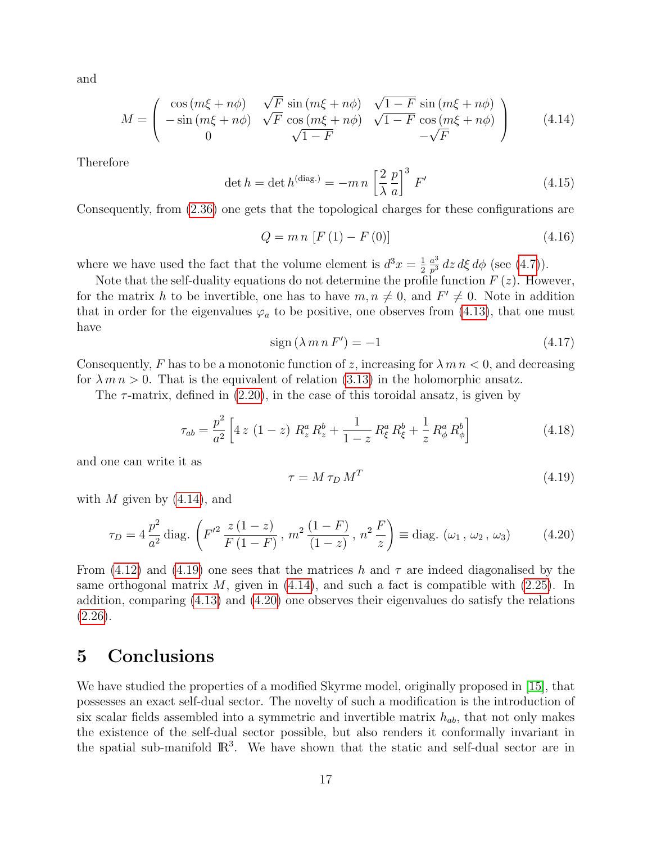and

<span id="page-17-1"></span>
$$
M = \begin{pmatrix} \cos\left(m\xi + n\phi\right) & \sqrt{F} \sin\left(m\xi + n\phi\right) & \sqrt{1 - F} \sin\left(m\xi + n\phi\right) \\ -\sin\left(m\xi + n\phi\right) & \sqrt{F} \cos\left(m\xi + n\phi\right) & \sqrt{1 - F} \cos\left(m\xi + n\phi\right) \\ 0 & \sqrt{1 - F} & -\sqrt{F} \end{pmatrix}
$$
(4.14)

Therefore

$$
\det h = \det h^{(\text{diag.})} = -m n \left[ \frac{2}{\lambda} \frac{p}{a} \right]^3 F'
$$
 (4.15)

Consequently, from [\(2.36\)](#page-8-4) one gets that the topological charges for these configurations are

$$
Q = m n [F(1) - F(0)] \tag{4.16}
$$

where we have used the fact that the volume element is  $d^3x = \frac{1}{2}$ 2  $a^3$  $\frac{a^3}{p^3}$  dz d $\xi$  d $\phi$  (see [\(4.7\)](#page-16-2)).

Note that the self-duality equations do not determine the profile function  $F(z)$ . However, for the matrix h to be invertible, one has to have  $m, n \neq 0$ , and  $F' \neq 0$ . Note in addition that in order for the eigenvalues  $\varphi_a$  to be positive, one observes from [\(4.13\)](#page-16-3), that one must have

$$
sign(\lambda m n F') = -1 \tag{4.17}
$$

Consequently, F has to be a monotonic function of z, increasing for  $\lambda$  m  $n$  < 0, and decreasing for  $\lambda m n > 0$ . That is the equivalent of relation [\(3.13\)](#page-13-3) in the holomorphic ansatz.

The  $\tau$ -matrix, defined in [\(2.20\)](#page-6-2), in the case of this toroidal ansatz, is given by

$$
\tau_{ab} = \frac{p^2}{a^2} \left[ 4 \, z \, \left( 1 - z \right) \, R_z^a \, R_z^b + \frac{1}{1 - z} \, R_\xi^a \, R_\xi^b + \frac{1}{z} \, R_\phi^a \, R_\phi^b \right] \tag{4.18}
$$

and one can write it as

<span id="page-17-2"></span>
$$
\tau = M \,\tau_D \, M^T \tag{4.19}
$$

with M given by  $(4.14)$ , and

<span id="page-17-3"></span>
$$
\tau_D = 4 \frac{p^2}{a^2} \text{diag.} \left( F'^2 \frac{z (1 - z)}{F (1 - F)}, m^2 \frac{(1 - F)}{(1 - z)}, n^2 \frac{F}{z} \right) \equiv \text{diag.} \left( \omega_1, \omega_2, \omega_3 \right) \tag{4.20}
$$

From [\(4.12\)](#page-16-4) and [\(4.19\)](#page-17-2) one sees that the matrices h and  $\tau$  are indeed diagonalised by the same orthogonal matrix  $M$ , given in  $(4.14)$ , and such a fact is compatible with  $(2.25)$ . In addition, comparing [\(4.13\)](#page-16-3) and [\(4.20\)](#page-17-3) one observes their eigenvalues do satisfy the relations  $(2.26).$  $(2.26).$ 

### <span id="page-17-0"></span>5 Conclusions

We have studied the properties of a modified Skyrme model, originally proposed in [\[15\]](#page-23-6), that possesses an exact self-dual sector. The novelty of such a modification is the introduction of six scalar fields assembled into a symmetric and invertible matrix  $h_{ab}$ , that not only makes the existence of the self-dual sector possible, but also renders it conformally invariant in the spatial sub-manifold  $\mathbb{R}^3$ . We have shown that the static and self-dual sector are in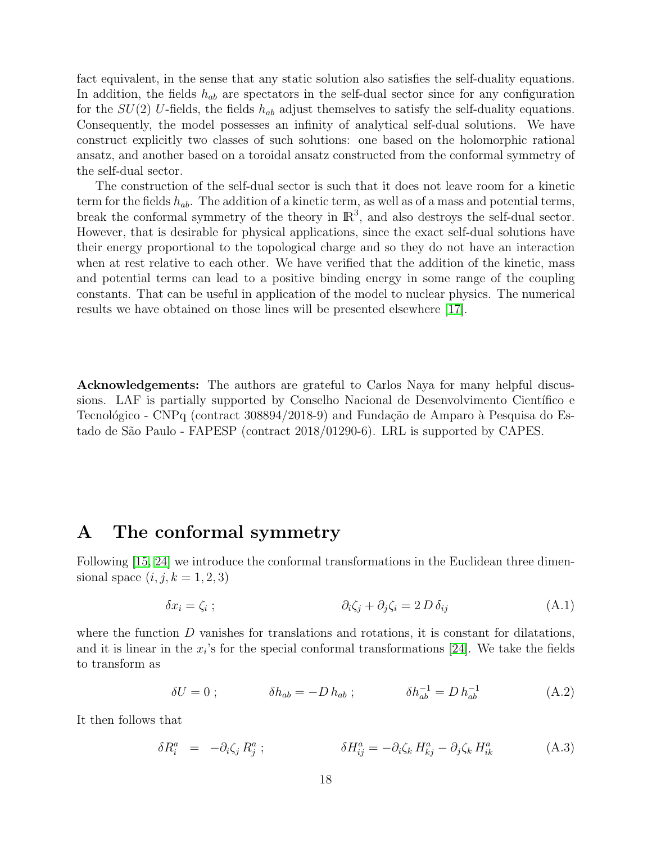fact equivalent, in the sense that any static solution also satisfies the self-duality equations. In addition, the fields  $h_{ab}$  are spectators in the self-dual sector since for any configuration for the  $SU(2)$  U-fields, the fields  $h_{ab}$  adjust themselves to satisfy the self-duality equations. Consequently, the model possesses an infinity of analytical self-dual solutions. We have construct explicitly two classes of such solutions: one based on the holomorphic rational ansatz, and another based on a toroidal ansatz constructed from the conformal symmetry of the self-dual sector.

The construction of the self-dual sector is such that it does not leave room for a kinetic term for the fields  $h_{ab}$ . The addition of a kinetic term, as well as of a mass and potential terms, break the conformal symmetry of the theory in  $\mathbb{R}^3$ , and also destroys the self-dual sector. However, that is desirable for physical applications, since the exact self-dual solutions have their energy proportional to the topological charge and so they do not have an interaction when at rest relative to each other. We have verified that the addition of the kinetic, mass and potential terms can lead to a positive binding energy in some range of the coupling constants. That can be useful in application of the model to nuclear physics. The numerical results we have obtained on those lines will be presented elsewhere [\[17\]](#page-23-8).

Acknowledgements: The authors are grateful to Carlos Naya for many helpful discussions. LAF is partially supported by Conselho Nacional de Desenvolvimento Científico e Tecnológico - CNPq (contract 308894/2018-9) and Fundação de Amparo à Pesquisa do Estado de São Paulo - FAPESP (contract 2018/01290-6). LRL is supported by CAPES.

#### <span id="page-18-0"></span>A The conformal symmetry

Following [\[15,](#page-23-6) [24\]](#page-24-0) we introduce the conformal transformations in the Euclidean three dimensional space  $(i, j, k = 1, 2, 3)$ 

<span id="page-18-1"></span>
$$
\delta x_i = \zeta_i ; \qquad \qquad \partial_i \zeta_j + \partial_j \zeta_i = 2 D \delta_{ij} \qquad (A.1)
$$

where the function  $D$  vanishes for translations and rotations, it is constant for dilatations, and it is linear in the  $x_i$ 's for the special conformal transformations [\[24\]](#page-24-0). We take the fields to transform as

<span id="page-18-2"></span>
$$
\delta U = 0 \; ; \qquad \delta h_{ab} = -D \, h_{ab} \; ; \qquad \delta h_{ab}^{-1} = D \, h_{ab}^{-1} \qquad (A.2)
$$

It then follows that

<span id="page-18-3"></span>
$$
\delta R_i^a = -\partial_i \zeta_j R_j^a ; \qquad \delta H_{ij}^a = -\partial_i \zeta_k H_{kj}^a - \partial_j \zeta_k H_{ik}^a \qquad (A.3)
$$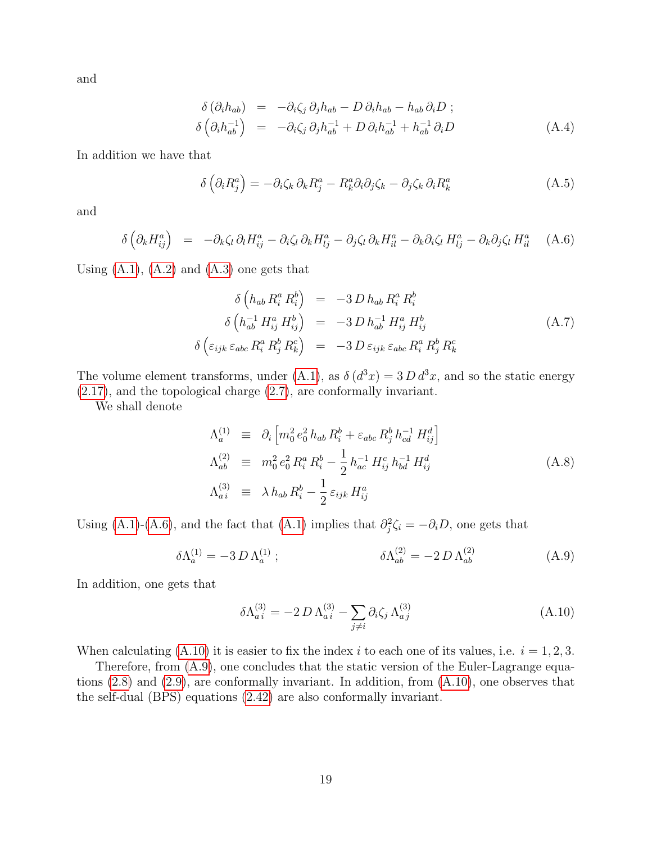and

$$
\delta\left(\partial_i h_{ab}\right) = -\partial_i \zeta_j \partial_j h_{ab} - D \partial_i h_{ab} - h_{ab} \partial_i D ;
$$
\n
$$
\delta\left(\partial_i h_{ab}^{-1}\right) = -\partial_i \zeta_j \partial_j h_{ab}^{-1} + D \partial_i h_{ab}^{-1} + h_{ab}^{-1} \partial_i D \tag{A.4}
$$

In addition we have that

$$
\delta\left(\partial_i R_j^a\right) = -\partial_i \zeta_k \partial_k R_j^a - R_k^a \partial_i \partial_j \zeta_k - \partial_j \zeta_k \partial_i R_k^a \tag{A.5}
$$

and

<span id="page-19-3"></span>
$$
\delta \left( \partial_k H_{ij}^a \right) = - \partial_k \zeta_l \, \partial_l H_{ij}^a - \partial_i \zeta_l \, \partial_k H_{lj}^a - \partial_j \zeta_l \, \partial_k H_{il}^a - \partial_k \partial_i \zeta_l \, H_{lj}^a - \partial_k \partial_j \zeta_l \, H_{il}^a \tag{A.6}
$$

Using  $(A.1)$ ,  $(A.2)$  and  $(A.3)$  one gets that

<span id="page-19-0"></span>
$$
\delta\left(h_{ab} R_i^a R_i^b\right) = -3 D h_{ab} R_i^a R_i^b
$$
\n
$$
\delta\left(h_{ab}^{-1} H_{ij}^a H_{ij}^b\right) = -3 D h_{ab}^{-1} H_{ij}^a H_{ij}^b
$$
\n
$$
\delta\left(\varepsilon_{ijk}\varepsilon_{abc} R_i^a R_j^b R_k^c\right) = -3 D \varepsilon_{ijk}\varepsilon_{abc} R_i^a R_j^b R_k^c
$$
\n(A.7)

The volume element transforms, under [\(A.1\)](#page-18-1), as  $\delta(d^3x) = 3 D d^3x$ , and so the static energy [\(2.17\)](#page-6-0), and the topological charge [\(2.7\)](#page-5-7), are conformally invariant.

We shall denote

$$
\Lambda_a^{(1)} \equiv \partial_i \left[ m_0^2 e_0^2 h_{ab} R_i^b + \varepsilon_{abc} R_j^b h_{cd}^{-1} H_{ij}^d \right]
$$
\n
$$
\Lambda_{ab}^{(2)} \equiv m_0^2 e_0^2 R_i^a R_i^b - \frac{1}{2} h_{ac}^{-1} H_{ij}^c h_{bd}^{-1} H_{ij}^d
$$
\n
$$
\Lambda_{ai}^{(3)} \equiv \lambda h_{ab} R_i^b - \frac{1}{2} \varepsilon_{ijk} H_{ij}^a
$$
\n(A.8)

Using [\(A.1\)](#page-18-1)-[\(A.6\)](#page-19-3), and the fact that (A.1) implies that  $\partial_j^2 \zeta_i = -\partial_i D$ , one gets that

<span id="page-19-1"></span>
$$
\delta\Lambda_a^{(1)} = -3 D \Lambda_a^{(1)} ; \qquad \delta\Lambda_{ab}^{(2)} = -2 D \Lambda_{ab}^{(2)} \qquad (A.9)
$$

In addition, one gets that

<span id="page-19-2"></span>
$$
\delta\Lambda_{ai}^{(3)} = -2 D \Lambda_{ai}^{(3)} - \sum_{j \neq i} \partial_i \zeta_j \Lambda_{aj}^{(3)}
$$
\n(A.10)

When calculating [\(A.10\)](#page-19-2) it is easier to fix the index i to each one of its values, i.e.  $i = 1, 2, 3$ .

Therefore, from [\(A.9\)](#page-19-1), one concludes that the static version of the Euler-Lagrange equations [\(2.8\)](#page-5-1) and [\(2.9\)](#page-5-0), are conformally invariant. In addition, from [\(A.10\)](#page-19-2), one observes that the self-dual (BPS) equations [\(2.42\)](#page-9-1) are also conformally invariant.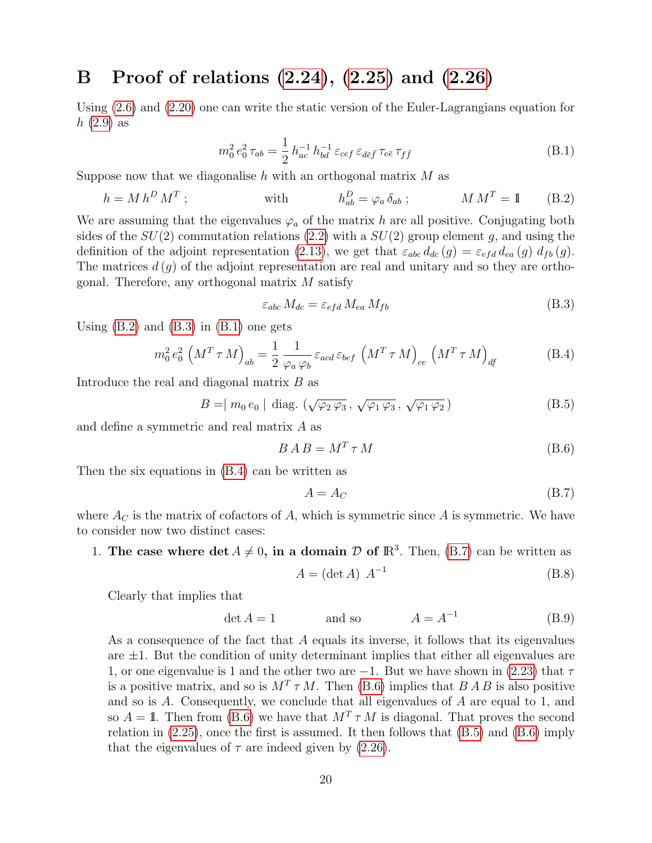# <span id="page-20-0"></span>B Proof of relations [\(2.24\)](#page-7-0), [\(2.25\)](#page-7-1) and [\(2.26\)](#page-7-2)

Using [\(2.6\)](#page-4-4) and [\(2.20\)](#page-6-2) one can write the static version of the Euler-Lagrangians equation for  $h(2.9)$  $h(2.9)$  as

<span id="page-20-3"></span>
$$
m_0^2 e_0^2 \tau_{ab} = \frac{1}{2} h_{ac}^{-1} h_{bd}^{-1} \varepsilon_{cef} \varepsilon_{d\bar{e}\bar{f}} \tau_{e\bar{e}} \tau_{f\bar{f}}
$$
(B.1)

Suppose now that we diagonalise h with an orthogonal matrix  $M$  as

<span id="page-20-1"></span>
$$
h = M h^D M^T ; \qquad \text{with} \qquad h_{ab}^D = \varphi_a \, \delta_{ab} ; \qquad M M^T = 1 \qquad (B.2)
$$

We are assuming that the eigenvalues  $\varphi_a$  of the matrix h are all positive. Conjugating both sides of the  $SU(2)$  commutation relations  $(2.2)$  with a  $SU(2)$  group element g, and using the definition of the adjoint representation [\(2.13\)](#page-5-8), we get that  $\varepsilon_{abc} d_{dc} (g) = \varepsilon_{efd} d_{ea} (g) d_{fb} (g)$ . The matrices  $d(g)$  of the adjoint representation are real and unitary and so they are orthogonal. Therefore, any orthogonal matrix  $M$  satisfy

<span id="page-20-2"></span>
$$
\varepsilon_{abc} M_{dc} = \varepsilon_{efd} M_{ea} M_{fb}
$$
\n(B.3)

Using  $(B.2)$  and  $(B.3)$  in  $(B.1)$  one gets

<span id="page-20-4"></span>
$$
m_0^2 e_0^2 \left( M^T \tau M \right)_{ab} = \frac{1}{2} \frac{1}{\varphi_a \varphi_b} \varepsilon_{acd} \varepsilon_{bef} \left( M^T \tau M \right)_{ce} \left( M^T \tau M \right)_{df}
$$
(B.4)

Introduce the real and diagonal matrix B as

<span id="page-20-7"></span>
$$
B = | m_0 e_0 | \text{diag. } (\sqrt{\varphi_2 \varphi_3}, \sqrt{\varphi_1 \varphi_3}, \sqrt{\varphi_1 \varphi_2})
$$
 (B.5)

and define a symmetric and real matrix A as

<span id="page-20-6"></span>
$$
B \, A \, B = M^T \, \tau \, M \tag{B.6}
$$

Then the six equations in [\(B.4\)](#page-20-4) can be written as

<span id="page-20-5"></span>
$$
A = A_C \tag{B.7}
$$

where  $A_C$  is the matrix of cofactors of A, which is symmetric since A is symmetric. We have to consider now two distinct cases:

1. The case where  $\det A \neq 0$ , in a domain D of  $\mathbb{R}^3$ . Then, [\(B.7\)](#page-20-5) can be written as

$$
A = (\det A) A^{-1}
$$
 (B.8)

Clearly that implies that

$$
\det A = 1 \qquad \text{and so} \qquad A = A^{-1} \qquad (B.9)
$$

As a consequence of the fact that A equals its inverse, it follows that its eigenvalues are  $\pm 1$ . But the condition of unity determinant implies that either all eigenvalues are 1, or one eigenvalue is 1 and the other two are  $-1$ . But we have shown in [\(2.23\)](#page-7-4) that  $\tau$ is a positive matrix, and so is  $M^T \tau M$ . Then [\(B.6\)](#page-20-6) implies that  $B \overline{A} B$  is also positive and so is A. Consequently, we conclude that all eigenvalues of A are equal to 1, and so  $A = 1$ . Then from [\(B.6\)](#page-20-6) we have that  $M<sup>T</sup> \tau M$  is diagonal. That proves the second relation in  $(2.25)$ , once the first is assumed. It then follows that  $(B.5)$  and  $(B.6)$  imply that the eigenvalues of  $\tau$  are indeed given by [\(2.26\)](#page-7-2).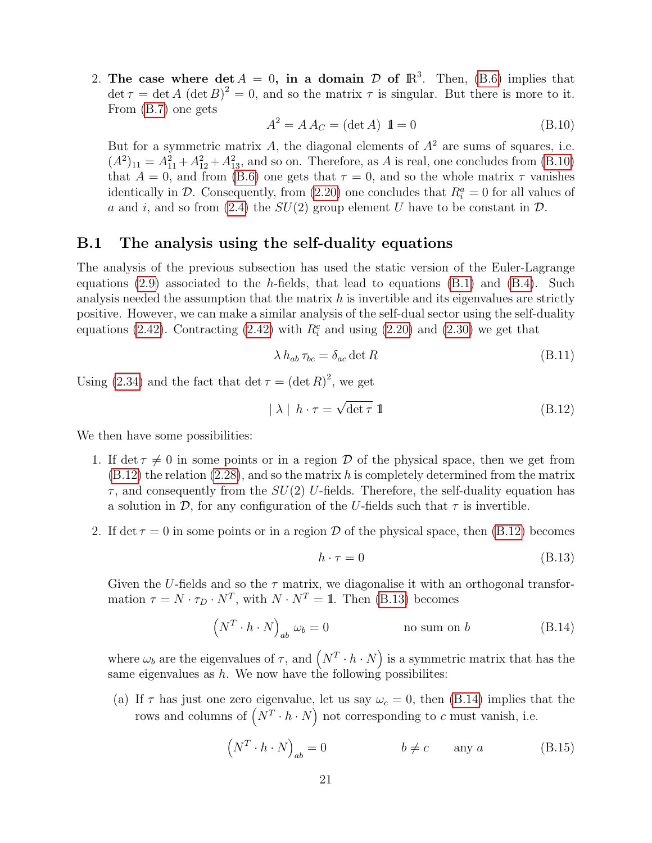2. The case where  $\det A = 0$ , in a domain D of  $\mathbb{R}^3$ . Then, [\(B.6\)](#page-20-6) implies that  $\det \tau = \det A (\det B)^2 = 0$ , and so the matrix  $\tau$  is singular. But there is more to it. From [\(B.7\)](#page-20-5) one gets

<span id="page-21-1"></span>
$$
A^2 = A A_C = (\det A) \mathbf{1} = 0
$$
 (B.10)

But for a symmetric matrix A, the diagonal elements of  $A<sup>2</sup>$  are sums of squares, i.e.  $(A^2)_{11} = A_{11}^2 + A_{12}^2 + A_{13}^2$ , and so on. Therefore, as A is real, one concludes from [\(B.10\)](#page-21-1) that  $A = 0$ , and from [\(B.6\)](#page-20-6) one gets that  $\tau = 0$ , and so the whole matrix  $\tau$  vanishes identically in  $\mathcal{D}$ . Consequently, from [\(2.20\)](#page-6-2) one concludes that  $R_i^a = 0$  for all values of a and i, and so from [\(2.4\)](#page-4-2) the  $SU(2)$  group element U have to be constant in  $\mathcal{D}$ .

#### <span id="page-21-0"></span>B.1 The analysis using the self-duality equations

The analysis of the previous subsection has used the static version of the Euler-Lagrange equations [\(2.9\)](#page-5-0) associated to the h-fields, that lead to equations  $(B.1)$  and  $(B.4)$ . Such analysis needed the assumption that the matrix  $h$  is invertible and its eigenvalues are strictly positive. However, we can make a similar analysis of the self-dual sector using the self-duality equations [\(2.42\)](#page-9-1). Contracting (2.42) with  $R_i^c$  and using [\(2.20\)](#page-6-2) and [\(2.30\)](#page-8-0) we get that

$$
\lambda h_{ab} \tau_{bc} = \delta_{ac} \det R \tag{B.11}
$$

Using [\(2.34\)](#page-8-5) and the fact that det  $\tau = (\det R)^2$ , we get

<span id="page-21-2"></span>
$$
|\lambda| h \cdot \tau = \sqrt{\det \tau} \mathbb{1}
$$
 (B.12)

We then have some possibilities:

- 1. If det  $\tau \neq 0$  in some points or in a region D of the physical space, then we get from  $(B.12)$  the relation  $(2.28)$ , and so the matrix h is completely determined from the matrix  $\tau$ , and consequently from the  $SU(2)$  U-fields. Therefore, the self-duality equation has a solution in  $\mathcal{D}$ , for any configuration of the U-fields such that  $\tau$  is invertible.
- 2. If det  $\tau = 0$  in some points or in a region D of the physical space, then [\(B.12\)](#page-21-2) becomes

<span id="page-21-3"></span>
$$
h \cdot \tau = 0 \tag{B.13}
$$

Given the U-fields and so the  $\tau$  matrix, we diagonalise it with an orthogonal transformation  $\tau = N \cdot \tau_D \cdot N^T$ , with  $N \cdot N^T = 1$ . Then [\(B.13\)](#page-21-3) becomes

<span id="page-21-4"></span>
$$
\left(N^T \cdot h \cdot N\right)_{ab} \omega_b = 0 \qquad \qquad \text{no sum on } b \tag{B.14}
$$

where  $\omega_b$  are the eigenvalues of  $\tau$ , and  $(N^T \cdot h \cdot N)$  is a symmetric matrix that has the same eigenvalues as h. We now have the following possibilities:

(a) If  $\tau$  has just one zero eigenvalue, let us say  $\omega_c = 0$ , then [\(B.14\)](#page-21-4) implies that the rows and columns of  $(N^T \cdot h \cdot N)$  not corresponding to c must vanish, i.e.

<span id="page-21-5"></span>
$$
\left(N^T \cdot h \cdot N\right)_{ab} = 0 \qquad \qquad b \neq c \qquad \text{any } a \tag{B.15}
$$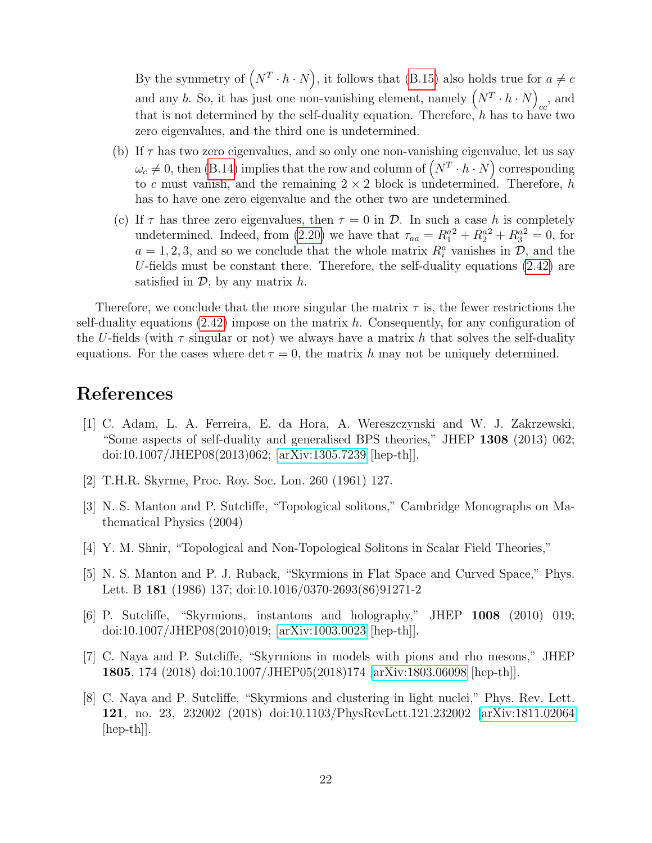By the symmetry of  $(N^T \cdot h \cdot N)$ , it follows that [\(B.15\)](#page-21-5) also holds true for  $a \neq c$ and any b. So, it has just one non-vanishing element, namely  $(N^T \cdot h \cdot N)$  $_{cc}$ , and that is not determined by the self-duality equation. Therefore, h has to have two zero eigenvalues, and the third one is undetermined.

- (b) If  $\tau$  has two zero eigenvalues, and so only one non-vanishing eigenvalue, let us say  $\omega_c \neq 0$ , then [\(B.14\)](#page-21-4) implies that the row and column of  $(N^T \cdot h \cdot N)$  corresponding to c must vanish, and the remaining  $2 \times 2$  block is undetermined. Therefore, h has to have one zero eigenvalue and the other two are undetermined.
- (c) If  $\tau$  has three zero eigenvalues, then  $\tau = 0$  in  $\mathcal{D}$ . In such a case h is completely undetermined. Indeed, from [\(2.20\)](#page-6-2) we have that  $\tau_{aa} = R_1^{a^2} + R_2^{a^2} + R_3^{a^2} = 0$ , for  $a = 1, 2, 3$ , and so we conclude that the whole matrix  $R_i^a$  vanishes in  $\mathcal{D}$ , and the U-fields must be constant there. Therefore, the self-duality equations  $(2.42)$  are satisfied in  $\mathcal{D}$ , by any matrix h.

Therefore, we conclude that the more singular the matrix  $\tau$  is, the fewer restrictions the self-duality equations  $(2.42)$  impose on the matrix h. Consequently, for any configuration of the U-fields (with  $\tau$  singular or not) we always have a matrix h that solves the self-duality equations. For the cases where det  $\tau = 0$ , the matrix h may not be uniquely determined.

## References

- <span id="page-22-0"></span>[1] C. Adam, L. A. Ferreira, E. da Hora, A. Wereszczynski and W. J. Zakrzewski, "Some aspects of self-duality and generalised BPS theories," JHEP 1308 (2013) 062; doi:10.1007/JHEP08(2013)062; [\[arXiv:1305.7239](http://arxiv.org/abs/1305.7239) [hep-th]].
- <span id="page-22-1"></span>[2] T.H.R. Skyrme, Proc. Roy. Soc. Lon. 260 (1961) 127.
- <span id="page-22-2"></span>[3] N. S. Manton and P. Sutcliffe, "Topological solitons," Cambridge Monographs on Mathematical Physics (2004)
- <span id="page-22-3"></span>[4] Y. M. Shnir, "Topological and Non-Topological Solitons in Scalar Field Theories,"
- <span id="page-22-4"></span>[5] N. S. Manton and P. J. Ruback, "Skyrmions in Flat Space and Curved Space," Phys. Lett. B 181 (1986) 137; doi:10.1016/0370-2693(86)91271-2
- <span id="page-22-5"></span>[6] P. Sutcliffe, "Skyrmions, instantons and holography," JHEP 1008 (2010) 019; doi:10.1007/JHEP08(2010)019; [\[arXiv:1003.0023](http://arxiv.org/abs/1003.0023) [hep-th]].
- <span id="page-22-6"></span>[7] C. Naya and P. Sutcliffe, "Skyrmions in models with pions and rho mesons," JHEP 1805, 174 (2018) doi:10.1007/JHEP05(2018)174 [\[arXiv:1803.06098](http://arxiv.org/abs/1803.06098) [hep-th]].
- <span id="page-22-7"></span>[8] C. Naya and P. Sutcliffe, "Skyrmions and clustering in light nuclei," Phys. Rev. Lett. 121, no. 23, 232002 (2018) doi:10.1103/PhysRevLett.121.232002 [\[arXiv:1811.02064](http://arxiv.org/abs/1811.02064)  $\vert \text{hep-th} \vert$ .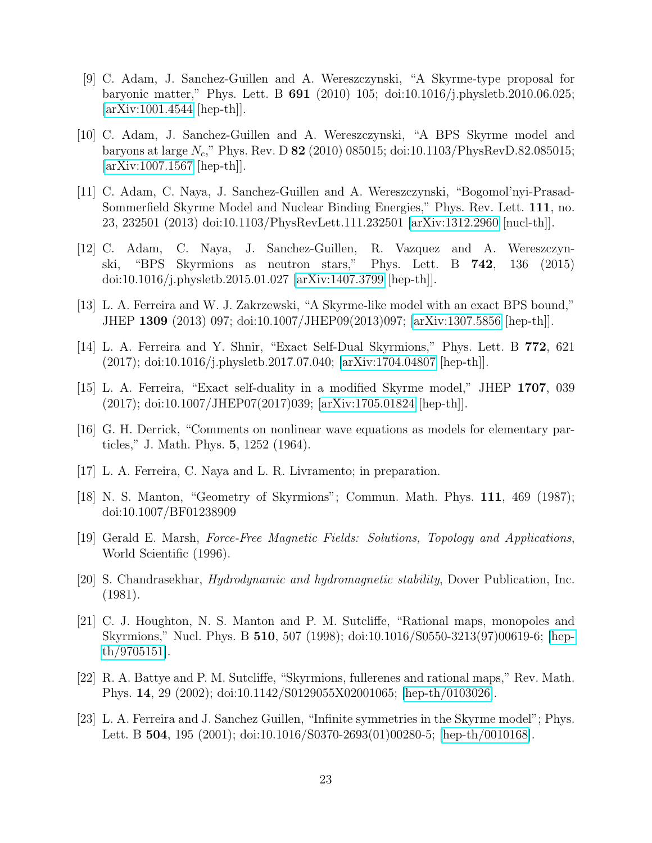- <span id="page-23-0"></span>[9] C. Adam, J. Sanchez-Guillen and A. Wereszczynski, "A Skyrme-type proposal for baryonic matter," Phys. Lett. B 691 (2010) 105; doi:10.1016/j.physletb.2010.06.025; [\[arXiv:1001.4544](http://arxiv.org/abs/1001.4544) [hep-th]].
- <span id="page-23-1"></span>[10] C. Adam, J. Sanchez-Guillen and A. Wereszczynski, "A BPS Skyrme model and baryons at large  $N_c$ ," Phys. Rev. D 82 (2010) 085015; doi:10.1103/PhysRevD.82.085015; [\[arXiv:1007.1567](http://arxiv.org/abs/1007.1567) [hep-th]].
- <span id="page-23-2"></span>[11] C. Adam, C. Naya, J. Sanchez-Guillen and A. Wereszczynski, "Bogomol'nyi-Prasad-Sommerfield Skyrme Model and Nuclear Binding Energies," Phys. Rev. Lett. 111, no. 23, 232501 (2013) doi:10.1103/PhysRevLett.111.232501 [\[arXiv:1312.2960](http://arxiv.org/abs/1312.2960) [nucl-th]].
- <span id="page-23-3"></span>[12] C. Adam, C. Naya, J. Sanchez-Guillen, R. Vazquez and A. Wereszczynski, "BPS Skyrmions as neutron stars," Phys. Lett. B 742, 136 (2015) doi:10.1016/j.physletb.2015.01.027 [\[arXiv:1407.3799](http://arxiv.org/abs/1407.3799) [hep-th]].
- <span id="page-23-4"></span>[13] L. A. Ferreira and W. J. Zakrzewski, "A Skyrme-like model with an exact BPS bound," JHEP 1309 (2013) 097; doi:10.1007/JHEP09(2013)097; [\[arXiv:1307.5856](http://arxiv.org/abs/1307.5856) [hep-th]].
- <span id="page-23-5"></span>[14] L. A. Ferreira and Y. Shnir, "Exact Self-Dual Skyrmions," Phys. Lett. B 772, 621 (2017); doi:10.1016/j.physletb.2017.07.040; [\[arXiv:1704.04807](http://arxiv.org/abs/1704.04807) [hep-th]].
- <span id="page-23-6"></span>[15] L. A. Ferreira, "Exact self-duality in a modified Skyrme model," JHEP 1707, 039 (2017); doi:10.1007/JHEP07(2017)039; [\[arXiv:1705.01824](http://arxiv.org/abs/1705.01824) [hep-th]].
- <span id="page-23-7"></span>[16] G. H. Derrick, "Comments on nonlinear wave equations as models for elementary particles," J. Math. Phys. 5, 1252 (1964).
- <span id="page-23-8"></span>[17] L. A. Ferreira, C. Naya and L. R. Livramento; in preparation.
- <span id="page-23-9"></span>[18] N. S. Manton, "Geometry of Skyrmions"; Commun. Math. Phys. 111, 469 (1987); doi:10.1007/BF01238909
- <span id="page-23-10"></span>[19] Gerald E. Marsh, Force-Free Magnetic Fields: Solutions, Topology and Applications, World Scientific (1996).
- <span id="page-23-11"></span>[20] S. Chandrasekhar, Hydrodynamic and hydromagnetic stability, Dover Publication, Inc. (1981).
- <span id="page-23-12"></span>[21] C. J. Houghton, N. S. Manton and P. M. Sutcliffe, "Rational maps, monopoles and Skyrmions," Nucl. Phys. B 510, 507 (1998); doi:10.1016/S0550-3213(97)00619-6; [\[hep](http://arxiv.org/abs/hep-th/9705151)[th/9705151\]](http://arxiv.org/abs/hep-th/9705151).
- <span id="page-23-13"></span>[22] R. A. Battye and P. M. Sutcliffe, "Skyrmions, fullerenes and rational maps," Rev. Math. Phys. 14, 29 (2002); doi:10.1142/S0129055X02001065; [\[hep-th/0103026\]](http://arxiv.org/abs/hep-th/0103026).
- <span id="page-23-14"></span>[23] L. A. Ferreira and J. Sanchez Guillen, "Infinite symmetries in the Skyrme model"; Phys. Lett. B 504, 195 (2001); doi:10.1016/S0370-2693(01)00280-5; [\[hep-th/0010168\]](http://arxiv.org/abs/hep-th/0010168).